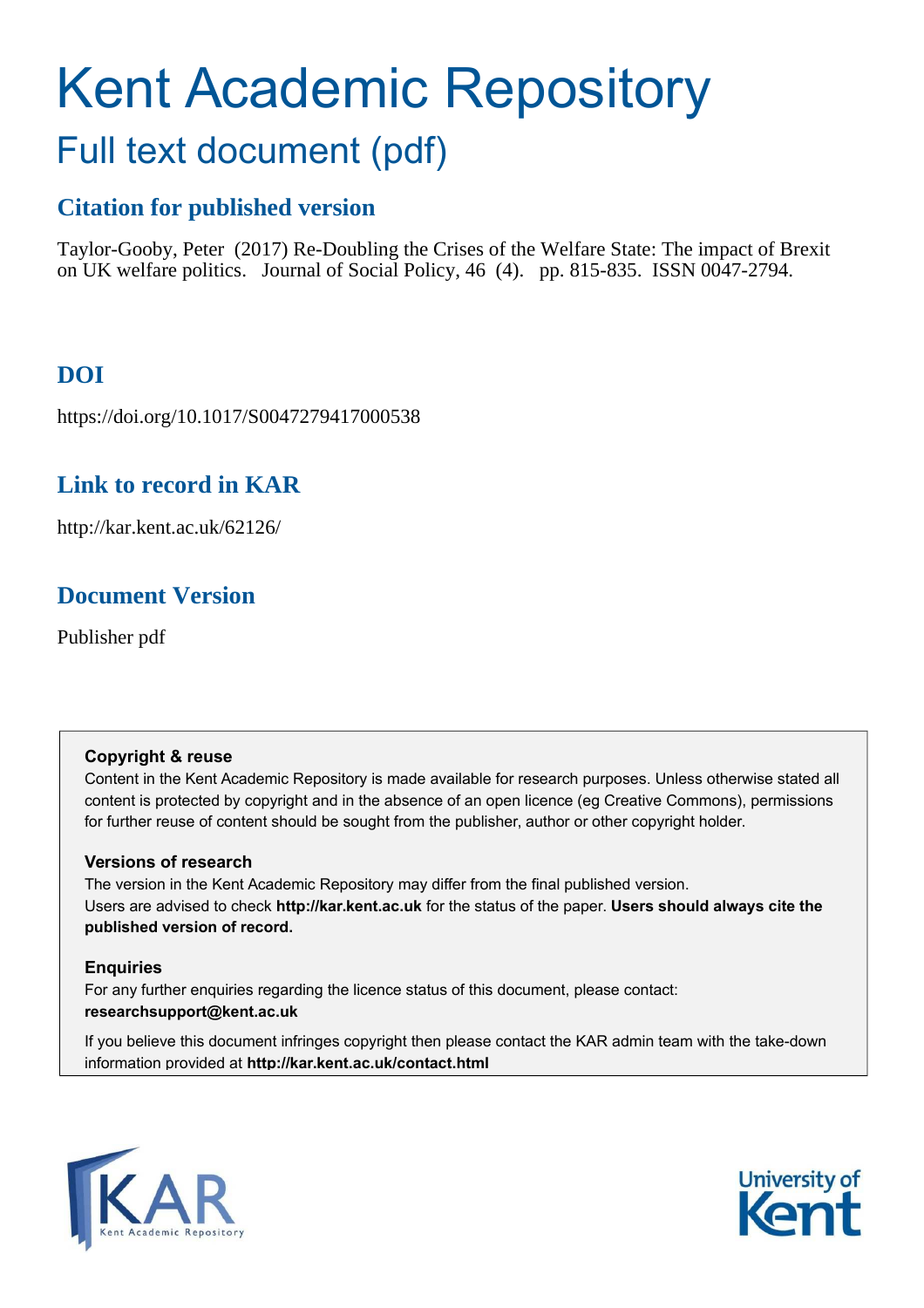# Kent Academic Repository Full text document (pdf)

## **Citation for published version**

Taylor-Gooby, Peter (2017) Re-Doubling the Crises of the Welfare State: The impact of Brexit on UK welfare politics. Journal of Social Policy, 46 (4). pp. 815-835. ISSN 0047-2794.

# **DOI**

https://doi.org/10.1017/S0047279417000538

### **Link to record in KAR**

http://kar.kent.ac.uk/62126/

# **Document Version**

Publisher pdf

### **Copyright & reuse**

Content in the Kent Academic Repository is made available for research purposes. Unless otherwise stated all content is protected by copyright and in the absence of an open licence (eg Creative Commons), permissions for further reuse of content should be sought from the publisher, author or other copyright holder.

### **Versions of research**

The version in the Kent Academic Repository may differ from the final published version. Users are advised to check **http://kar.kent.ac.uk** for the status of the paper. **Users should always cite the published version of record.**

### **Enquiries**

For any further enquiries regarding the licence status of this document, please contact: **researchsupport@kent.ac.uk**

If you believe this document infringes copyright then please contact the KAR admin team with the take-down information provided at **http://kar.kent.ac.uk/contact.html**



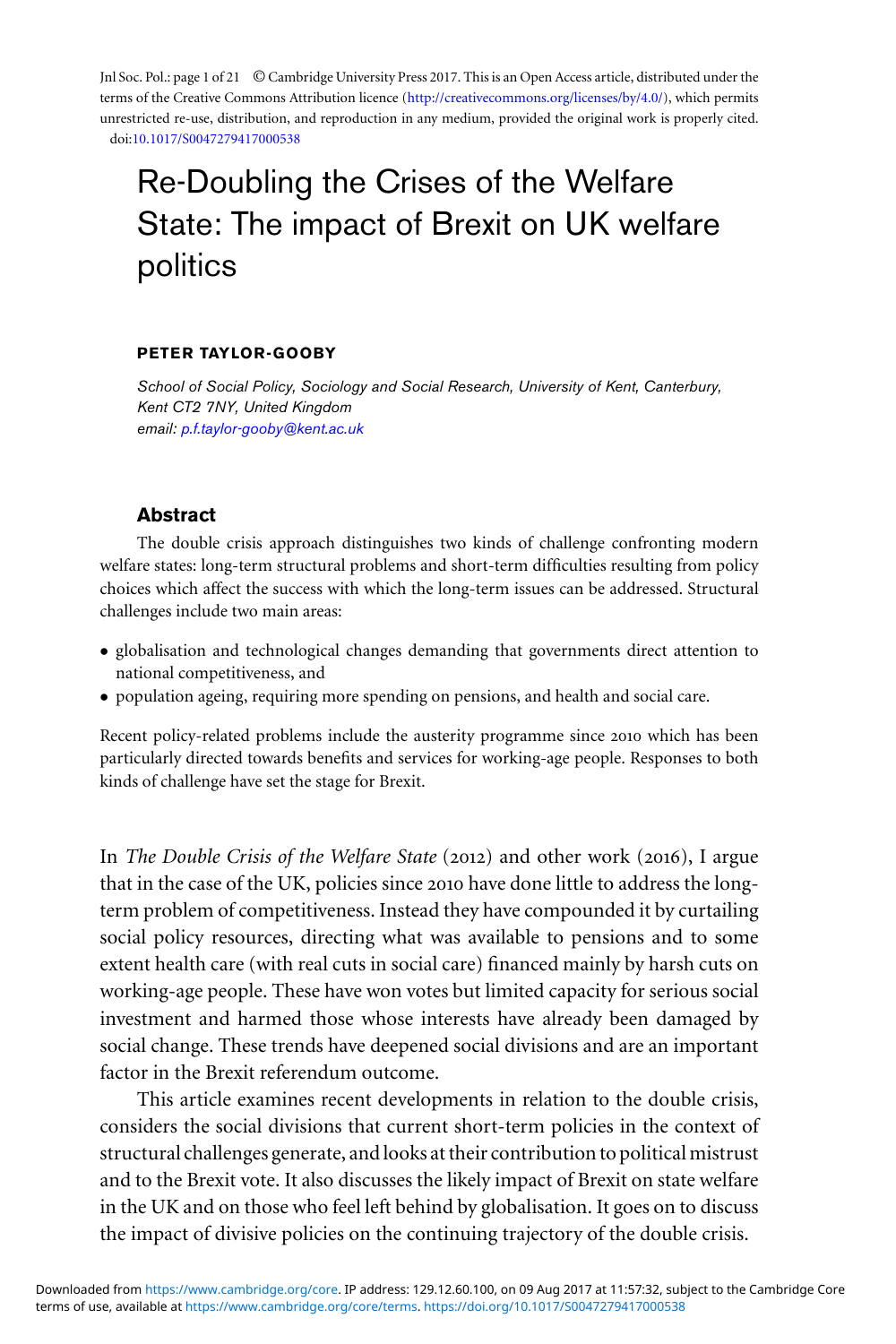Jnl Soc. Pol.: page 1 of 21 © Cambridge University Press 2017. This is an Open Access article, distributed under the terms of the Creative Commons Attribution licence [\(http://creativecommons.org/licenses/by/4.0/\)](http://creativecommons.org/licenses/by/4.0/), which permits unrestricted re-use, distribution, and reproduction in any medium, provided the original work is properly cited. doi[:10.1017/S0047279417000538](https://doi.org/10.1017/S0047279417000538)

# Re-Doubling the Crises of the Welfare State: The impact of Brexit on UK welfare politics

#### **PETER TAYLOR-GOOBY**

*School of Social Policy, Sociology and Social Research, University of Kent, Canterbury, Kent CT2 7NY, United Kingdom email: [p.f.taylor-gooby@kent.ac.uk](mailto:p.f.taylor-gooby@kent.ac.uk)*

#### **Abstract**

The double crisis approach distinguishes two kinds of challenge confronting modern welfare states: long-term structural problems and short-term difficulties resulting from policy choices which affect the success with which the long-term issues can be addressed. Structural challenges include two main areas:

- globalisation and technological changes demanding that governments direct attention to national competitiveness, and
- population ageing, requiring more spending on pensions, and health and social care.

Recent policy-related problems include the austerity programme since 2010 which has been particularly directed towards benefits and services for working-age people. Responses to both kinds of challenge have set the stage for Brexit.

In *The Double Crisis of the Welfare State* (2012) and other work (2016), I argue that in the case of the UK, policies since 2010 have done little to address the longterm problem of competitiveness. Instead they have compounded it by curtailing social policy resources, directing what was available to pensions and to some extent health care (with real cuts in social care) financed mainly by harsh cuts on working-age people. These have won votes but limited capacity for serious social investment and harmed those whose interests have already been damaged by social change. These trends have deepened social divisions and are an important factor in the Brexit referendum outcome.

This article examines recent developments in relation to the double crisis, considers the social divisions that current short-term policies in the context of structural challenges generate, and looks at their contribution to political mistrust and to the Brexit vote. It also discusses the likely impact of Brexit on state welfare in the UK and on those who feel left behind by globalisation. It goes on to discuss the impact of divisive policies on the continuing trajectory of the double crisis.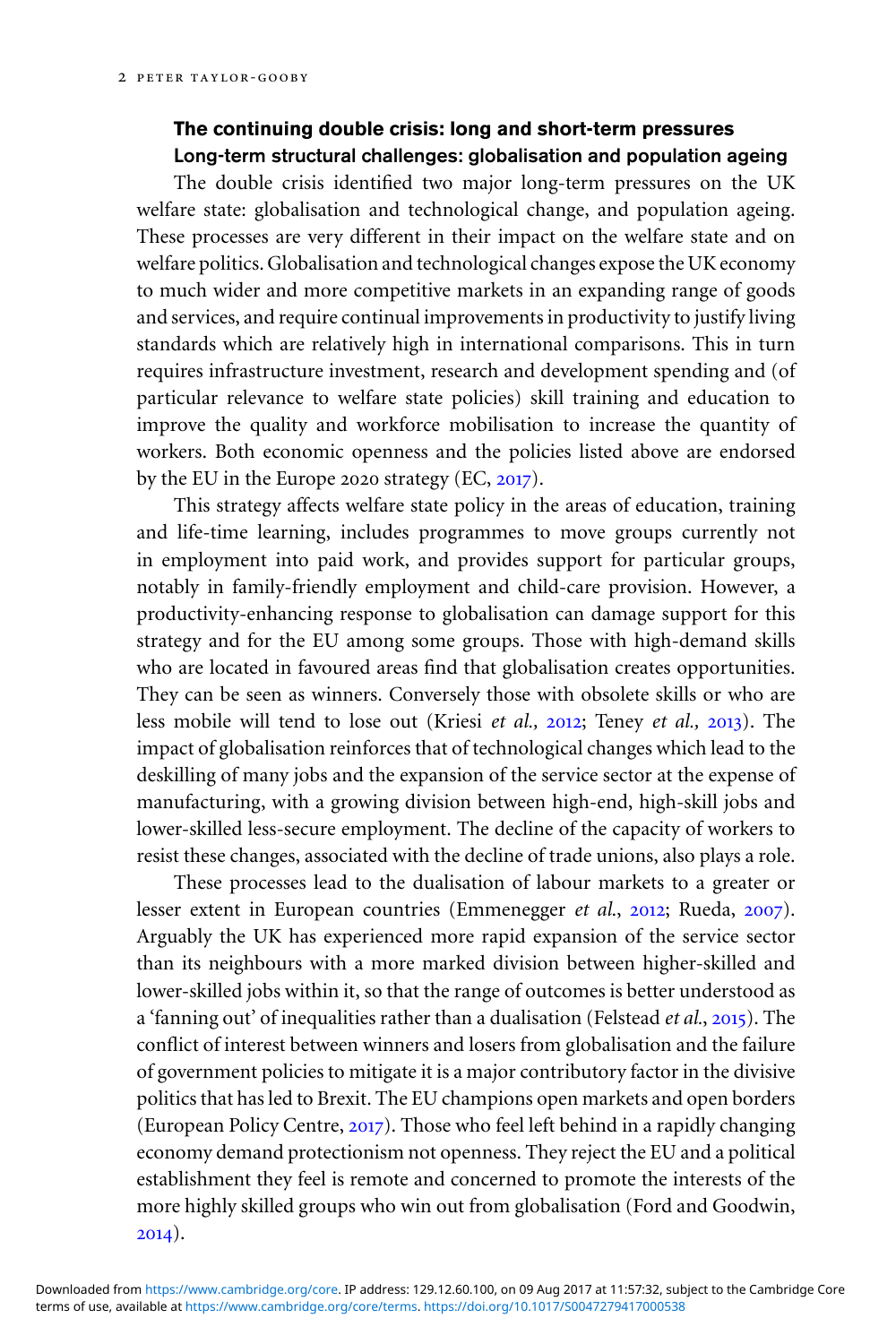#### **The continuing double crisis: long and short-term pressures** Long-term structural challenges: globalisation and population ageing

The double crisis identified two major long-term pressures on the UK welfare state: globalisation and technological change, and population ageing. These processes are very different in their impact on the welfare state and on welfare politics. Globalisation and technological changes expose the UK economy to much wider and more competitive markets in an expanding range of goods and services, and require continual improvements in productivity to justify living standards which are relatively high in international comparisons. This in turn requires infrastructure investment, research and development spending and (of particular relevance to welfare state policies) skill training and education to improve the quality and workforce mobilisation to increase the quantity of workers. Both economic openness and the policies listed above are endorsed by the EU in the Europe 2020 strategy (EC, [2017](#page-18-0)).

This strategy affects welfare state policy in the areas of education, training and life-time learning, includes programmes to move groups currently not in employment into paid work, and provides support for particular groups, notably in family-friendly employment and child-care provision. However, a productivity-enhancing response to globalisation can damage support for this strategy and for the EU among some groups. Those with high-demand skills who are located in favoured areas find that globalisation creates opportunities. They can be seen as winners. Conversely those with obsolete skills or who are less mobile will tend to lose out (Kriesi *et al.,* [2012](#page-19-0); Teney *et al.,* [2013](#page-20-0)). The impact of globalisation reinforces that of technological changes which lead to the deskilling of many jobs and the expansion of the service sector at the expense of manufacturing, with a growing division between high-end, high-skill jobs and lower-skilled less-secure employment. The decline of the capacity of workers to resist these changes, associated with the decline of trade unions, also plays a role.

These processes lead to the dualisation of labour markets to a greater or lesser extent in European countries (Emmenegger *et al*., [2012](#page-18-0); Rueda, [2007](#page-20-0)). Arguably the UK has experienced more rapid expansion of the service sector than its neighbours with a more marked division between higher-skilled and lower-skilled jobs within it, so that the range of outcomes is better understood as a 'fanning out' of inequalities rather than a dualisation (Felstead *et al.*, [2015](#page-18-0)). The conflict of interest between winners and losers from globalisation and the failure of government policies to mitigate it is a major contributory factor in the divisive politics that has led to Brexit. The EU champions open markets and open borders (European Policy Centre, [2017](#page-18-0)). Those who feel left behind in a rapidly changing economy demand protectionism not openness. They reject the EU and a political establishment they feel is remote and concerned to promote the interests of the more highly skilled groups who win out from globalisation (Ford and Goodwin, [2014](#page-18-0)).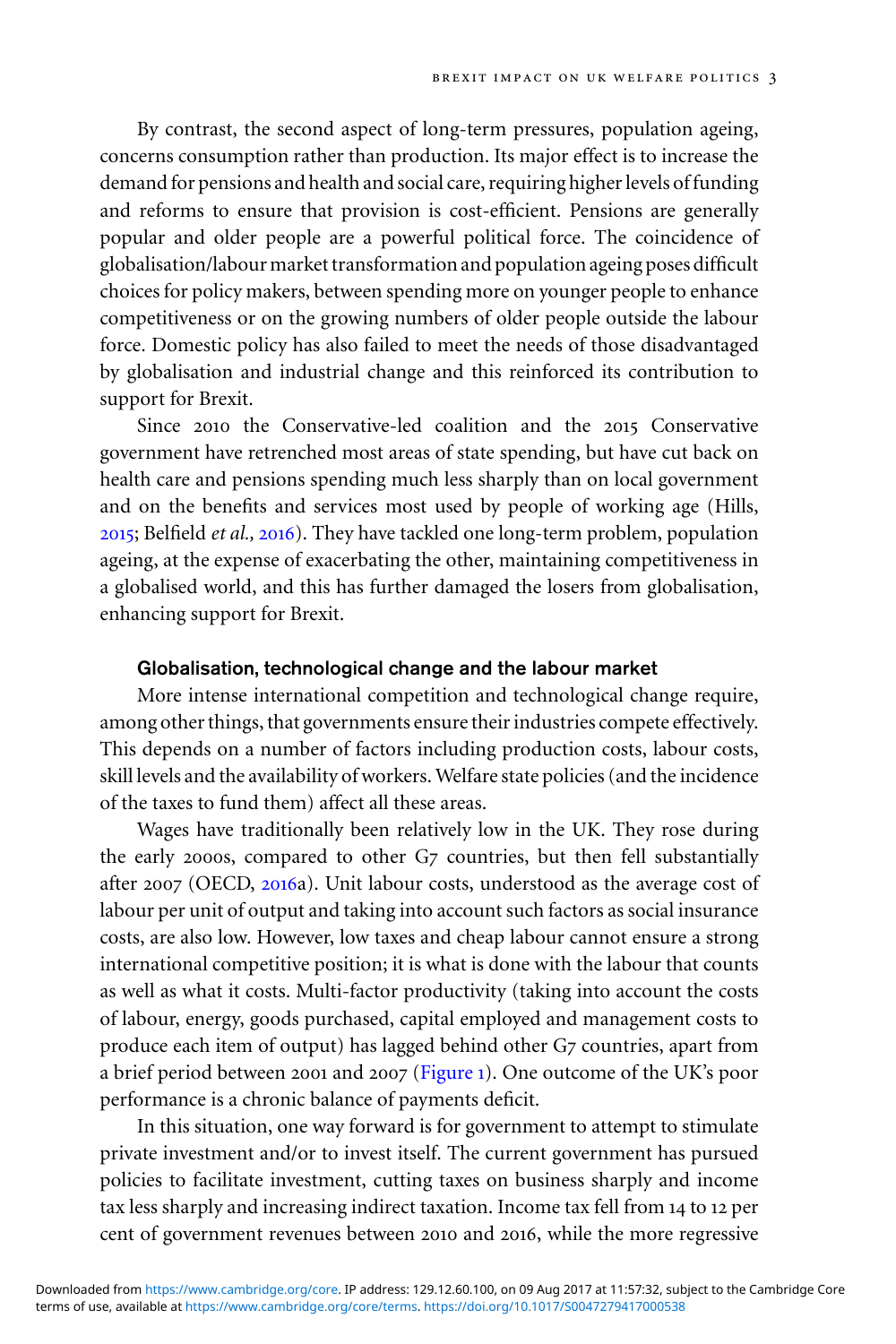By contrast, the second aspect of long-term pressures, population ageing, concerns consumption rather than production. Its major effect is to increase the demand for pensions and health and social care, requiring higher levels of funding and reforms to ensure that provision is cost-efficient. Pensions are generally popular and older people are a powerful political force. The coincidence of globalisation/labour market transformation and population ageing poses difficult choices for policy makers, between spending more on younger people to enhance competitiveness or on the growing numbers of older people outside the labour force. Domestic policy has also failed to meet the needs of those disadvantaged by globalisation and industrial change and this reinforced its contribution to support for Brexit.

Since 2010 the Conservative-led coalition and the 2015 Conservative government have retrenched most areas of state spending, but have cut back on health care and pensions spending much less sharply than on local government and on the benefits and services most used by people of working age (Hills, [2015](#page-18-0); Belfield *et al.,* [2016](#page-17-0)). They have tackled one long-term problem, population ageing, at the expense of exacerbating the other, maintaining competitiveness in a globalised world, and this has further damaged the losers from globalisation, enhancing support for Brexit.

#### Globalisation, technological change and the labour market

More intense international competition and technological change require, among other things, that governments ensure their industries compete effectively. This depends on a number of factors including production costs, labour costs, skill levels and the availability of workers. Welfare state policies (and the incidence of the taxes to fund them) affect all these areas.

Wages have traditionally been relatively low in the UK. They rose during the early 2000s, compared to other G7 countries, but then fell substantially after 2007 (OECD, [2016](#page-19-0)a). Unit labour costs, understood as the average cost of labour per unit of output and taking into account such factors as social insurance costs, are also low. However, low taxes and cheap labour cannot ensure a strong international competitive position; it is what is done with the labour that counts as well as what it costs. Multi-factor productivity (taking into account the costs of labour, energy, goods purchased, capital employed and management costs to produce each item of output) has lagged behind other G7 countries, apart from a brief period between 2001 and 2007 (Figure 1). One outcome of the UK's poor performance is a chronic balance of payments deficit.

In this situation, one way forward is for government to attempt to stimulate private investment and/or to invest itself. The current government has pursued policies to facilitate investment, cutting taxes on business sharply and income tax less sharply and increasing indirect taxation. Income tax fell from 14 to 12 per cent of government revenues between 2010 and 2016, while the more regressive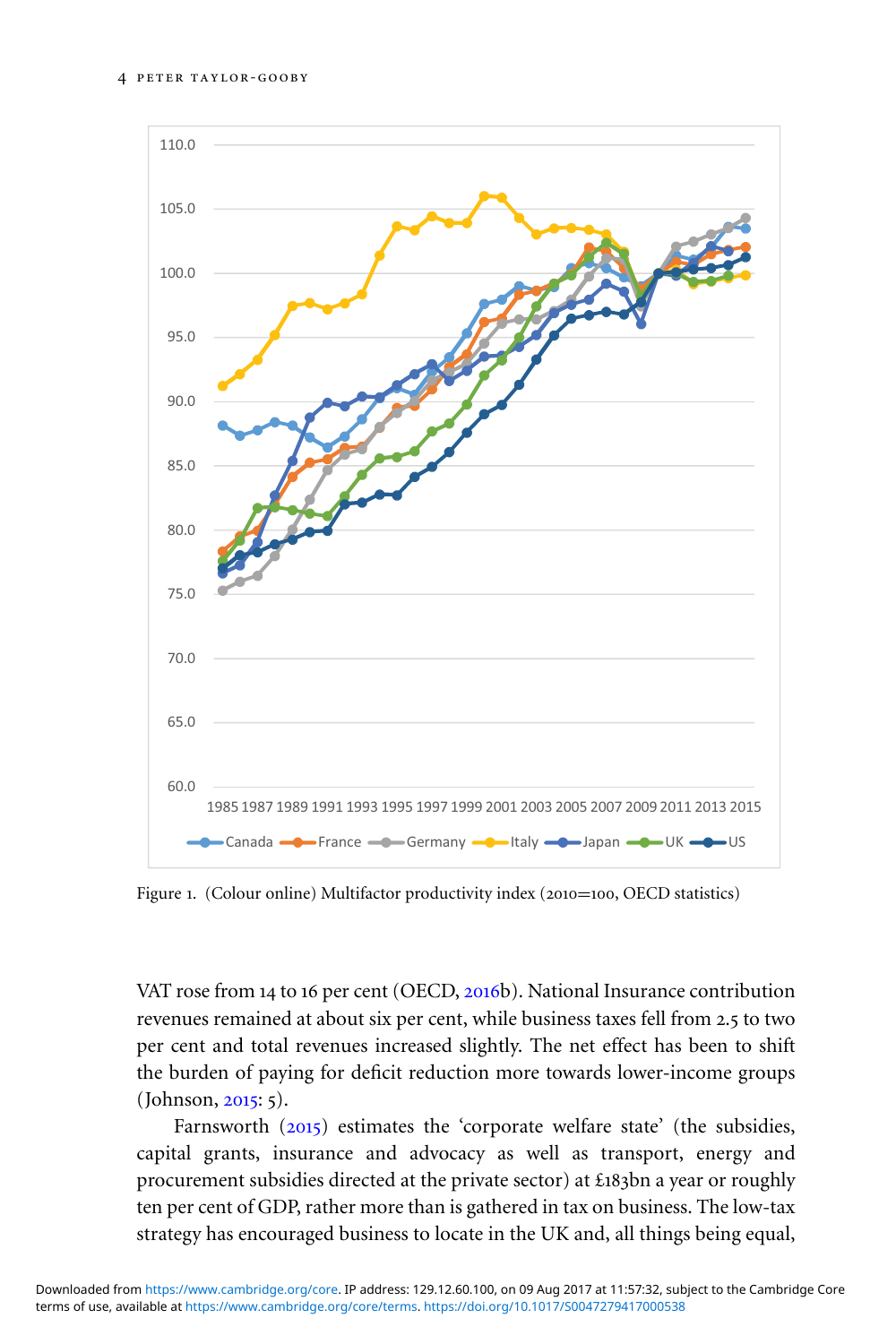

Figure 1. (Colour online) Multifactor productivity index (2010=100, OECD statistics)

VAT rose from 14 to 16 per cent (OECD, [2016](#page-19-0)b). National Insurance contribution revenues remained at about six per cent, while business taxes fell from 2.5 to two per cent and total revenues increased slightly. The net effect has been to shift the burden of paying for deficit reduction more towards lower-income groups (Johnson, [2015](#page-19-0): 5).

Farnsworth ([2015](#page-18-0)) estimates the 'corporate welfare state' (the subsidies, capital grants, insurance and advocacy as well as transport, energy and procurement subsidies directed at the private sector) at £183bn a year or roughly ten per cent of GDP, rather more than is gathered in tax on business. The low-tax strategy has encouraged business to locate in the UK and, all things being equal,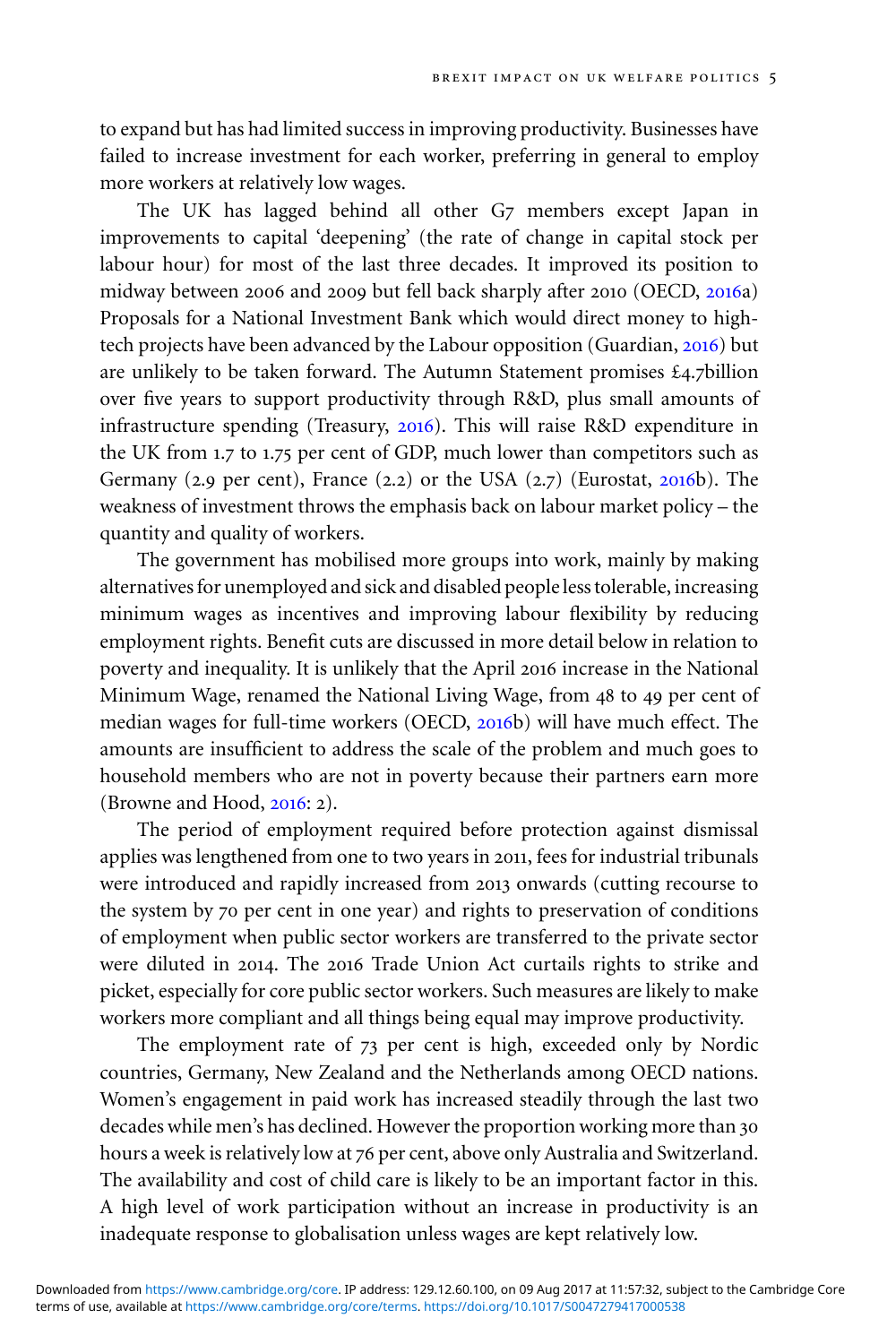to expand but has had limited success in improving productivity. Businesses have failed to increase investment for each worker, preferring in general to employ more workers at relatively low wages.

The UK has lagged behind all other G7 members except Japan in improvements to capital 'deepening' (the rate of change in capital stock per labour hour) for most of the last three decades. It improved its position to midway between 2006 and 2009 but fell back sharply after 2010 (OECD, [2016](#page-19-0)a) Proposals for a National Investment Bank which would direct money to hightech projects have been advanced by the Labour opposition (Guardian, [2016](#page-18-0)) but are unlikely to be taken forward. The Autumn Statement promises £4.7billion over five years to support productivity through R&D, plus small amounts of infrastructure spending (Treasury, [2016](#page-20-0)). This will raise R&D expenditure in the UK from 1.7 to 1.75 per cent of GDP, much lower than competitors such as Germany (2.9 per cent), France (2.2) or the USA (2.7) (Eurostat, [2016](#page-18-0)b). The weakness of investment throws the emphasis back on labour market policy – the quantity and quality of workers.

The government has mobilised more groups into work, mainly by making alternatives for unemployed and sick and disabled people less tolerable, increasing minimum wages as incentives and improving labour flexibility by reducing employment rights. Benefit cuts are discussed in more detail below in relation to poverty and inequality. It is unlikely that the April 2016 increase in the National Minimum Wage, renamed the National Living Wage, from 48 to 49 per cent of median wages for full-time workers (OECD, [2016](#page-19-0)b) will have much effect. The amounts are insufficient to address the scale of the problem and much goes to household members who are not in poverty because their partners earn more (Browne and Hood, [2016](#page-17-0): 2).

The period of employment required before protection against dismissal applies was lengthened from one to two years in 2011, fees for industrial tribunals were introduced and rapidly increased from 2013 onwards (cutting recourse to the system by 70 per cent in one year) and rights to preservation of conditions of employment when public sector workers are transferred to the private sector were diluted in 2014. The 2016 Trade Union Act curtails rights to strike and picket, especially for core public sector workers. Such measures are likely to make workers more compliant and all things being equal may improve productivity.

The employment rate of 73 per cent is high, exceeded only by Nordic countries, Germany, New Zealand and the Netherlands among OECD nations. Women's engagement in paid work has increased steadily through the last two decades while men's has declined. However the proportion working more than 30 hours a week is relatively low at 76 per cent, above only Australia and Switzerland. The availability and cost of child care is likely to be an important factor in this. A high level of work participation without an increase in productivity is an inadequate response to globalisation unless wages are kept relatively low.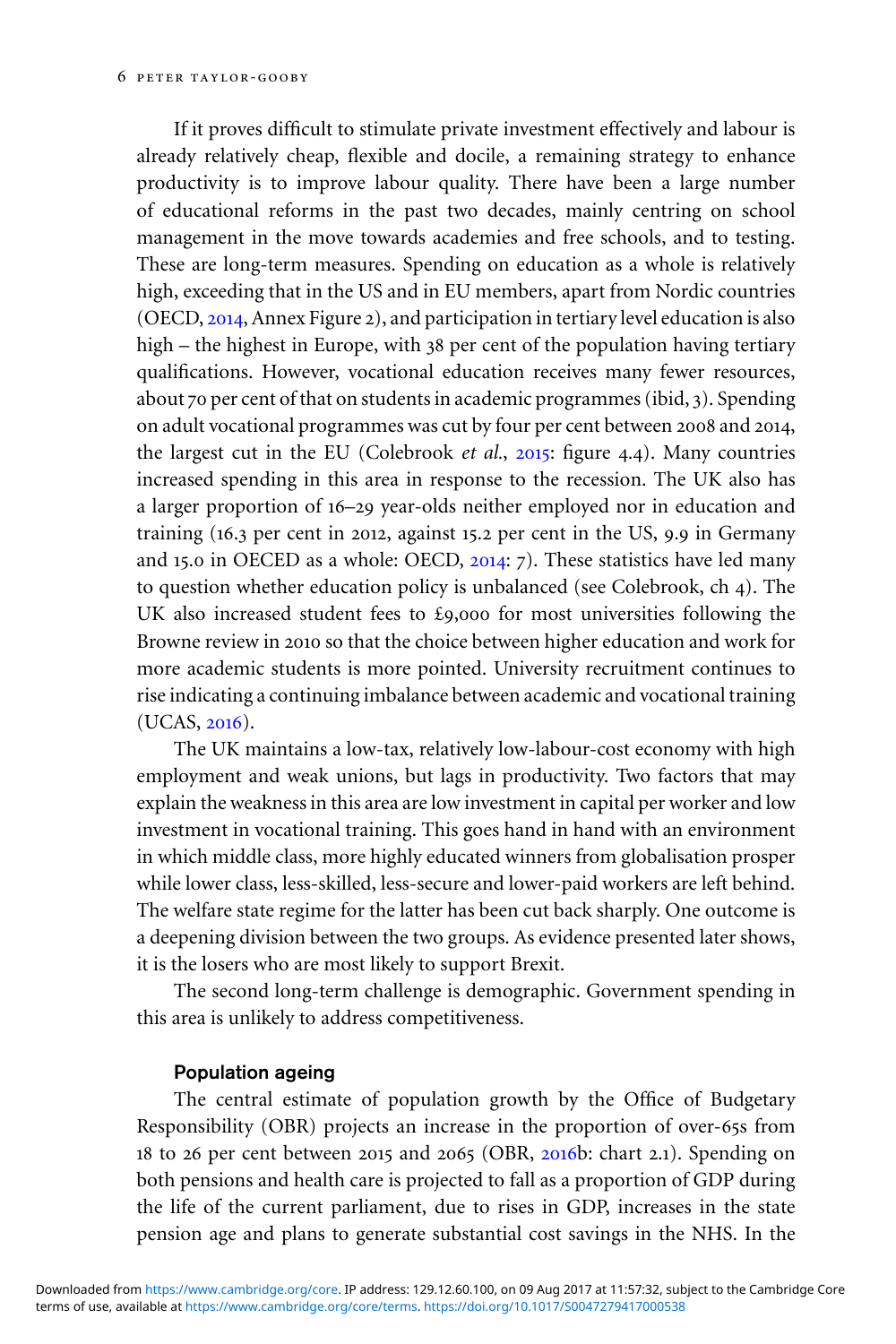If it proves difficult to stimulate private investment effectively and labour is already relatively cheap, flexible and docile, a remaining strategy to enhance productivity is to improve labour quality. There have been a large number of educational reforms in the past two decades, mainly centring on school management in the move towards academies and free schools, and to testing. These are long-term measures. Spending on education as a whole is relatively high, exceeding that in the US and in EU members, apart from Nordic countries (OECD, [2014](#page-19-0), Annex Figure 2), and participation in tertiary level education is also high – the highest in Europe, with 38 per cent of the population having tertiary qualifications. However, vocational education receives many fewer resources, about 70 per cent of that on students in academic programmes (ibid, 3). Spending on adult vocational programmes was cut by four per cent between 2008 and 2014, the largest cut in the EU (Colebrook *et al.*, [2015](#page-17-0): figure 4.4). Many countries increased spending in this area in response to the recession. The UK also has a larger proportion of 16–29 year-olds neither employed nor in education and training (16.3 per cent in 2012, against 15.2 per cent in the US, 9.9 in Germany and 15.0 in OECED as a whole: OECD, [2014](#page-19-0): 7). These statistics have led many to question whether education policy is unbalanced (see Colebrook, ch 4). The UK also increased student fees to £9,000 for most universities following the Browne review in 2010 so that the choice between higher education and work for more academic students is more pointed. University recruitment continues to rise indicating a continuing imbalance between academic and vocational training (UCAS, [2016](#page-20-0)).

The UK maintains a low-tax, relatively low-labour-cost economy with high employment and weak unions, but lags in productivity. Two factors that may explain the weakness in this area are low investment in capital per worker and low investment in vocational training. This goes hand in hand with an environment in which middle class, more highly educated winners from globalisation prosper while lower class, less-skilled, less-secure and lower-paid workers are left behind. The welfare state regime for the latter has been cut back sharply. One outcome is a deepening division between the two groups. As evidence presented later shows, it is the losers who are most likely to support Brexit.

The second long-term challenge is demographic. Government spending in this area is unlikely to address competitiveness.

#### Population ageing

The central estimate of population growth by the Office of Budgetary Responsibility (OBR) projects an increase in the proportion of over-65s from 18 to 26 per cent between 2015 and 2065 (OBR, [2016](#page-19-0)b: chart 2.1). Spending on both pensions and health care is projected to fall as a proportion of GDP during the life of the current parliament, due to rises in GDP, increases in the state pension age and plans to generate substantial cost savings in the NHS. In the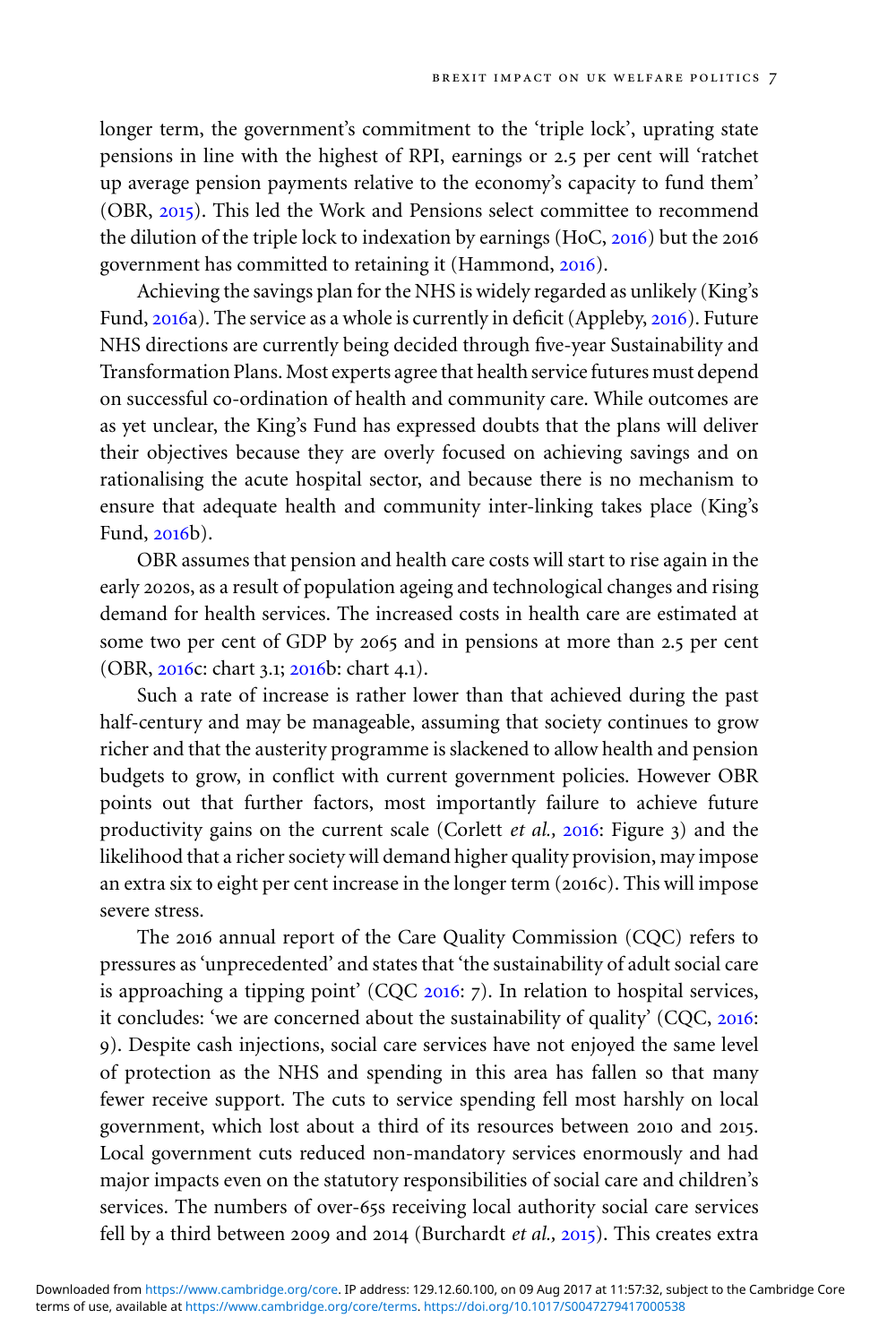longer term, the government's commitment to the 'triple lock', uprating state pensions in line with the highest of RPI, earnings or 2.5 per cent will 'ratchet up average pension payments relative to the economy's capacity to fund them' (OBR, [2015](#page-19-0)). This led the Work and Pensions select committee to recommend the dilution of the triple lock to indexation by earnings (HoC, [2016](#page-19-0)) but the 2016 government has committed to retaining it (Hammond, [2016](#page-18-0)).

Achieving the savings plan for the NHS is widely regarded as unlikely (King's Fund, [2016](#page-19-0)a). The service as a whole is currently in deficit (Appleby, [2016](#page-17-0)). Future NHS directions are currently being decided through five-year Sustainability and Transformation Plans. Most experts agree that health service futures must depend on successful co-ordination of health and community care. While outcomes are as yet unclear, the King's Fund has expressed doubts that the plans will deliver their objectives because they are overly focused on achieving savings and on rationalising the acute hospital sector, and because there is no mechanism to ensure that adequate health and community inter-linking takes place (King's Fund, [2016](#page-19-0)b).

OBR assumes that pension and health care costs will start to rise again in the early 2020s, as a result of population ageing and technological changes and rising demand for health services. The increased costs in health care are estimated at some two per cent of GDP by 2065 and in pensions at more than 2.5 per cent (OBR, [2016](#page-19-0)c: chart 3.1; [2016](#page-19-0)b: chart 4.1).

Such a rate of increase is rather lower than that achieved during the past half-century and may be manageable, assuming that society continues to grow richer and that the austerity programme is slackened to allow health and pension budgets to grow, in conflict with current government policies. However OBR points out that further factors, most importantly failure to achieve future productivity gains on the current scale (Corlett *et al.,* [2016](#page-17-0): Figure 3) and the likelihood that a richer society will demand higher quality provision, may impose an extra six to eight per cent increase in the longer term (2016c). This will impose severe stress.

The 2016 annual report of the Care Quality Commission (CQC) refers to pressures as 'unprecedented' and states that 'the sustainability of adult social care is approaching a tipping point' (CQC [2016](#page-17-0): 7). In relation to hospital services, it concludes: 'we are concerned about the sustainability of quality' (CQC, [2016](#page-17-0): 9). Despite cash injections, social care services have not enjoyed the same level of protection as the NHS and spending in this area has fallen so that many fewer receive support. The cuts to service spending fell most harshly on local government, which lost about a third of its resources between 2010 and 2015. Local government cuts reduced non-mandatory services enormously and had major impacts even on the statutory responsibilities of social care and children's services. The numbers of over-65s receiving local authority social care services fell by a third between 2009 and 2014 (Burchardt *et al.,* [2015](#page-17-0)). This creates extra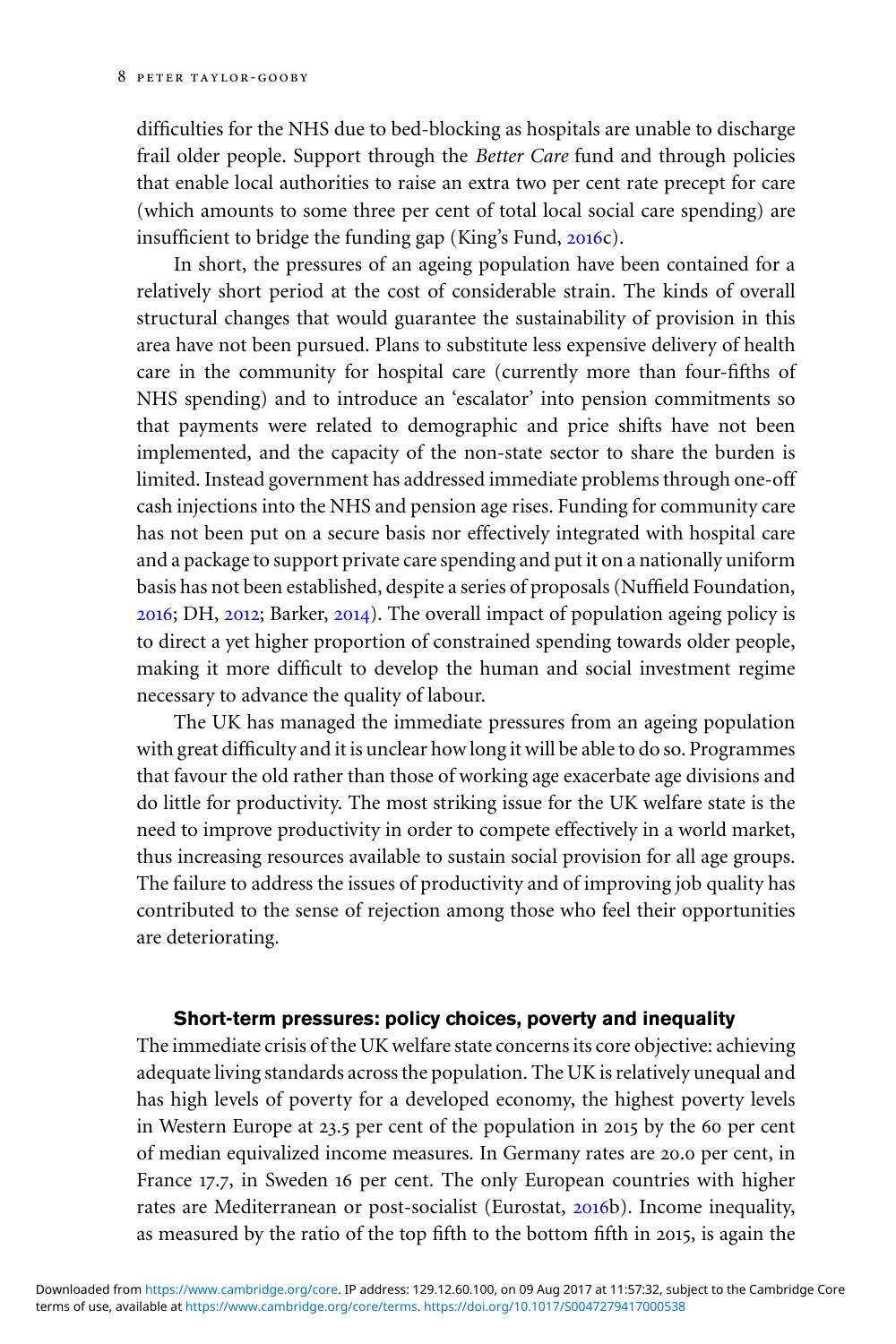difficulties for the NHS due to bed-blocking as hospitals are unable to discharge frail older people. Support through the *Better Care* fund and through policies that enable local authorities to raise an extra two per cent rate precept for care (which amounts to some three per cent of total local social care spending) are insufficient to bridge the funding gap (King's Fund, [2016](#page-19-0)c).

In short, the pressures of an ageing population have been contained for a relatively short period at the cost of considerable strain. The kinds of overall structural changes that would guarantee the sustainability of provision in this area have not been pursued. Plans to substitute less expensive delivery of health care in the community for hospital care (currently more than four-fifths of NHS spending) and to introduce an 'escalator' into pension commitments so that payments were related to demographic and price shifts have not been implemented, and the capacity of the non-state sector to share the burden is limited. Instead government has addressed immediate problems through one-off cash injections into the NHS and pension age rises. Funding for community care has not been put on a secure basis nor effectively integrated with hospital care and a package to support private care spending and put it on a nationally uniform basis has not been established, despite a series of proposals (Nuffield Foundation, [2016](#page-19-0); DH, [2012](#page-18-0); Barker, [2014](#page-17-0)). The overall impact of population ageing policy is to direct a yet higher proportion of constrained spending towards older people, making it more difficult to develop the human and social investment regime necessary to advance the quality of labour.

The UK has managed the immediate pressures from an ageing population with great difficulty and it is unclear how long it will be able to do so. Programmes that favour the old rather than those of working age exacerbate age divisions and do little for productivity. The most striking issue for the UK welfare state is the need to improve productivity in order to compete effectively in a world market, thus increasing resources available to sustain social provision for all age groups. The failure to address the issues of productivity and of improving job quality has contributed to the sense of rejection among those who feel their opportunities are deteriorating.

#### **Short-term pressures: policy choices, poverty and inequality**

The immediate crisis of the UK welfare state concerns its core objective: achieving adequate living standards across the population. The UK is relatively unequal and has high levels of poverty for a developed economy, the highest poverty levels in Western Europe at 23.5 per cent of the population in 2015 by the 60 per cent of median equivalized income measures. In Germany rates are 20.0 per cent, in France 17.7, in Sweden 16 per cent. The only European countries with higher rates are Mediterranean or post-socialist (Eurostat, [2016](#page-18-0)b). Income inequality, as measured by the ratio of the top fifth to the bottom fifth in 2015, is again the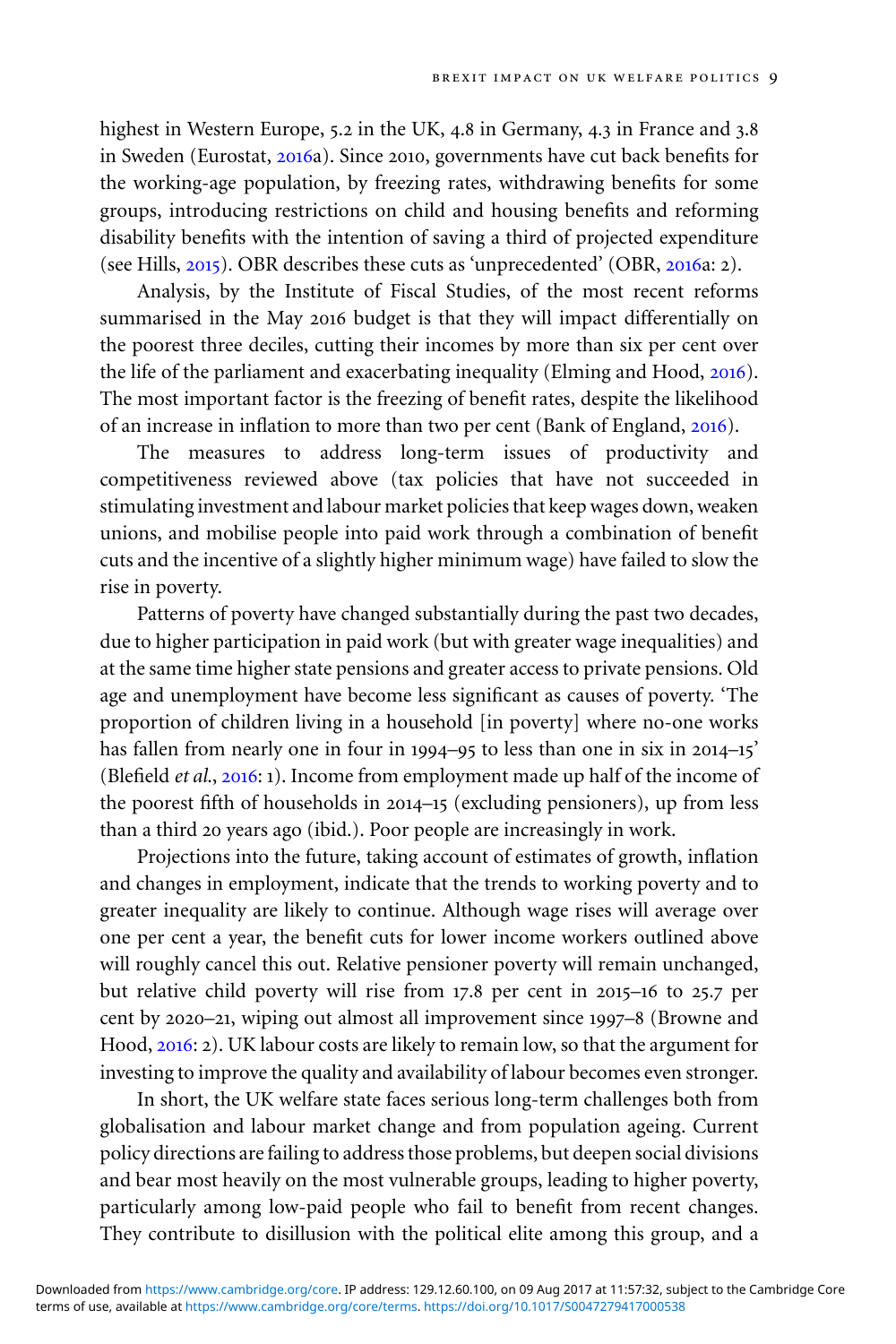highest in Western Europe, 5.2 in the UK, 4.8 in Germany, 4.3 in France and 3.8 in Sweden (Eurostat, [2016](#page-18-0)a). Since 2010, governments have cut back benefits for the working-age population, by freezing rates, withdrawing benefits for some groups, introducing restrictions on child and housing benefits and reforming disability benefits with the intention of saving a third of projected expenditure (see Hills, [2015](#page-18-0)). OBR describes these cuts as 'unprecedented' (OBR, [2016](#page-19-0)a: 2).

Analysis, by the Institute of Fiscal Studies, of the most recent reforms summarised in the May 2016 budget is that they will impact differentially on the poorest three deciles, cutting their incomes by more than six per cent over the life of the parliament and exacerbating inequality (Elming and Hood, [2016](#page-18-0)). The most important factor is the freezing of benefit rates, despite the likelihood of an increase in inflation to more than two per cent (Bank of England, [2016](#page-17-0)).

The measures to address long-term issues of productivity and competitiveness reviewed above (tax policies that have not succeeded in stimulating investment and labour market policies that keep wages down, weaken unions, and mobilise people into paid work through a combination of benefit cuts and the incentive of a slightly higher minimum wage) have failed to slow the rise in poverty.

Patterns of poverty have changed substantially during the past two decades, due to higher participation in paid work (but with greater wage inequalities) and at the same time higher state pensions and greater access to private pensions. Old age and unemployment have become less significant as causes of poverty. 'The proportion of children living in a household [in poverty] where no-one works has fallen from nearly one in four in 1994–95 to less than one in six in 2014–15' (Blefield *et al*., [2016](#page-17-0): 1). Income from employment made up half of the income of the poorest fifth of households in 2014–15 (excluding pensioners), up from less than a third 20 years ago (ibid.). Poor people are increasingly in work.

Projections into the future, taking account of estimates of growth, inflation and changes in employment, indicate that the trends to working poverty and to greater inequality are likely to continue. Although wage rises will average over one per cent a year, the benefit cuts for lower income workers outlined above will roughly cancel this out. Relative pensioner poverty will remain unchanged, but relative child poverty will rise from 17.8 per cent in 2015–16 to 25.7 per cent by 2020–21, wiping out almost all improvement since 1997–8 (Browne and Hood, [2016](#page-17-0): 2). UK labour costs are likely to remain low, so that the argument for investing to improve the quality and availability of labour becomes even stronger.

In short, the UK welfare state faces serious long-term challenges both from globalisation and labour market change and from population ageing. Current policy directions are failing to address those problems, but deepen social divisions and bear most heavily on the most vulnerable groups, leading to higher poverty, particularly among low-paid people who fail to benefit from recent changes. They contribute to disillusion with the political elite among this group, and a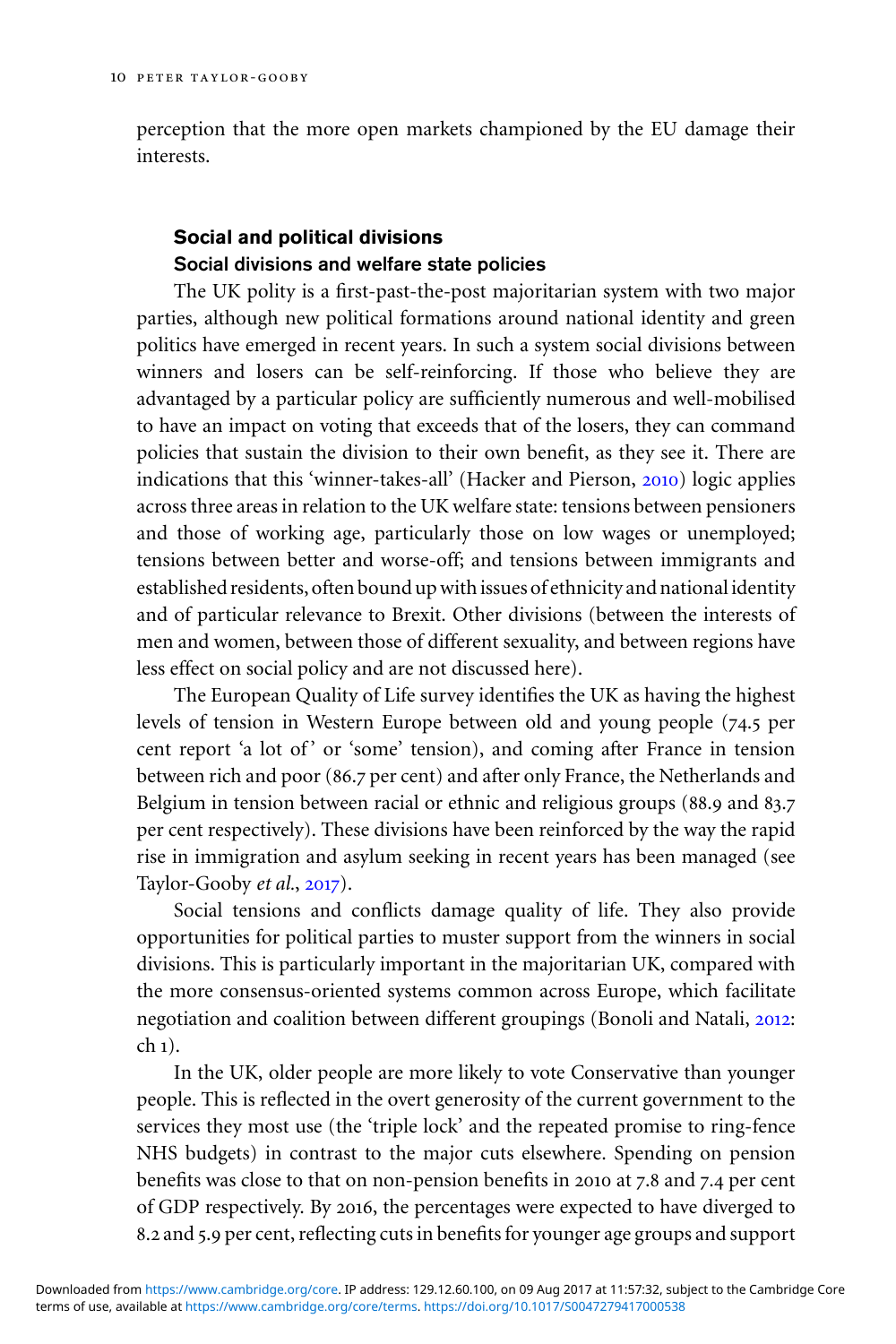perception that the more open markets championed by the EU damage their interests.

### **Social and political divisions** Social divisions and welfare state policies

The UK polity is a first-past-the-post majoritarian system with two major parties, although new political formations around national identity and green politics have emerged in recent years. In such a system social divisions between winners and losers can be self-reinforcing. If those who believe they are advantaged by a particular policy are sufficiently numerous and well-mobilised to have an impact on voting that exceeds that of the losers, they can command policies that sustain the division to their own benefit, as they see it. There are indications that this 'winner-takes-all' (Hacker and Pierson, [2010](#page-18-0)) logic applies across three areas in relation to the UK welfare state: tensions between pensioners and those of working age, particularly those on low wages or unemployed; tensions between better and worse-off; and tensions between immigrants and established residents, often bound up with issues of ethnicity and national identity and of particular relevance to Brexit. Other divisions (between the interests of men and women, between those of different sexuality, and between regions have less effect on social policy and are not discussed here).

The European Quality of Life survey identifies the UK as having the highest levels of tension in Western Europe between old and young people (74.5 per cent report 'a lot of' or 'some' tension), and coming after France in tension between rich and poor (86.7 per cent) and after only France, the Netherlands and Belgium in tension between racial or ethnic and religious groups (88.9 and 83.7 per cent respectively). These divisions have been reinforced by the way the rapid rise in immigration and asylum seeking in recent years has been managed (see Taylor-Gooby *et al.*, [2017](#page-20-0)).

Social tensions and conflicts damage quality of life. They also provide opportunities for political parties to muster support from the winners in social divisions. This is particularly important in the majoritarian UK, compared with the more consensus-oriented systems common across Europe, which facilitate negotiation and coalition between different groupings (Bonoli and Natali, [2012](#page-17-0): ch 1).

In the UK, older people are more likely to vote Conservative than younger people. This is reflected in the overt generosity of the current government to the services they most use (the 'triple lock' and the repeated promise to ring-fence NHS budgets) in contrast to the major cuts elsewhere. Spending on pension benefits was close to that on non-pension benefits in 2010 at 7.8 and 7.4 per cent of GDP respectively. By 2016, the percentages were expected to have diverged to 8.2 and 5.9 per cent, reflecting cuts in benefits for younger age groups and support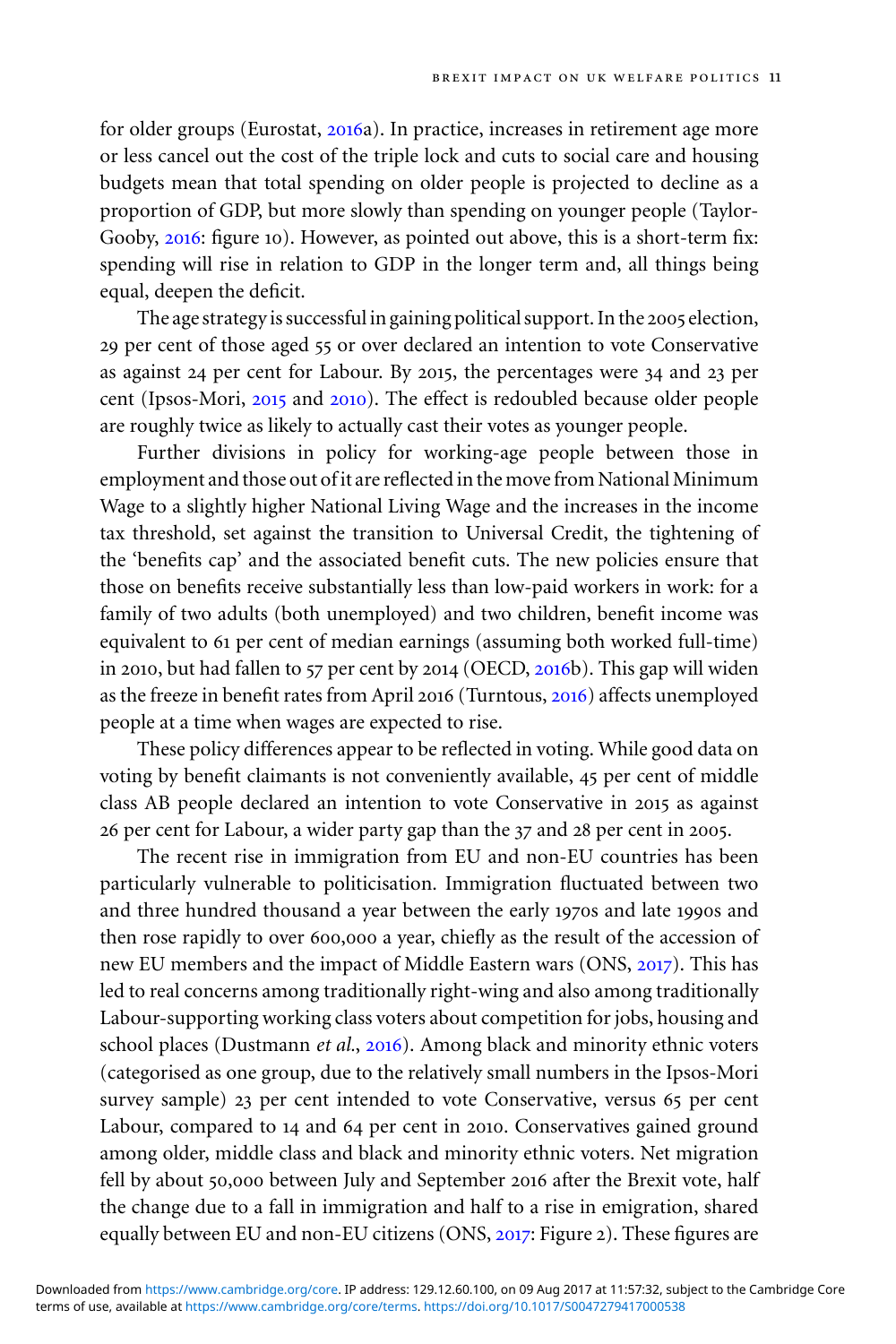for older groups (Eurostat, [2016](#page-18-0)a). In practice, increases in retirement age more or less cancel out the cost of the triple lock and cuts to social care and housing budgets mean that total spending on older people is projected to decline as a proportion of GDP, but more slowly than spending on younger people (Taylor-Gooby, [2016](#page-20-0): figure 10). However, as pointed out above, this is a short-term fix: spending will rise in relation to GDP in the longer term and, all things being equal, deepen the deficit.

The age strategy is successful in gaining political support. In the 2005 election, 29 per cent of those aged 55 or over declared an intention to vote Conservative as against 24 per cent for Labour. By 2015, the percentages were 34 and 23 per cent (Ipsos-Mori, [2015](#page-19-0) and [2010](#page-19-0)). The effect is redoubled because older people are roughly twice as likely to actually cast their votes as younger people.

Further divisions in policy for working-age people between those in employment and those out of it are reflected in the move from National Minimum Wage to a slightly higher National Living Wage and the increases in the income tax threshold, set against the transition to Universal Credit, the tightening of the 'benefits cap' and the associated benefit cuts. The new policies ensure that those on benefits receive substantially less than low-paid workers in work: for a family of two adults (both unemployed) and two children, benefit income was equivalent to 61 per cent of median earnings (assuming both worked full-time) in 2010, but had fallen to 57 per cent by 2014 (OECD, [2016](#page-19-0)b). This gap will widen as the freeze in benefit rates from April 2016 (Turntous, [2016](#page-20-0)) affects unemployed people at a time when wages are expected to rise.

These policy differences appear to be reflected in voting. While good data on voting by benefit claimants is not conveniently available, 45 per cent of middle class AB people declared an intention to vote Conservative in 2015 as against 26 per cent for Labour, a wider party gap than the 37 and 28 per cent in 2005.

The recent rise in immigration from EU and non-EU countries has been particularly vulnerable to politicisation. Immigration fluctuated between two and three hundred thousand a year between the early 1970s and late 1990s and then rose rapidly to over 600,000 a year, chiefly as the result of the accession of new EU members and the impact of Middle Eastern wars (ONS, [2017](#page-19-0)). This has led to real concerns among traditionally right-wing and also among traditionally Labour-supporting working class voters about competition for jobs, housing and school places (Dustmann *et al.*, [2016](#page-18-0)). Among black and minority ethnic voters (categorised as one group, due to the relatively small numbers in the Ipsos-Mori survey sample) 23 per cent intended to vote Conservative, versus 65 per cent Labour, compared to 14 and 64 per cent in 2010. Conservatives gained ground among older, middle class and black and minority ethnic voters. Net migration fell by about 50,000 between July and September 2016 after the Brexit vote, half the change due to a fall in immigration and half to a rise in emigration, shared equally between EU and non-EU citizens (ONS, [2017](#page-19-0): Figure 2). These figures are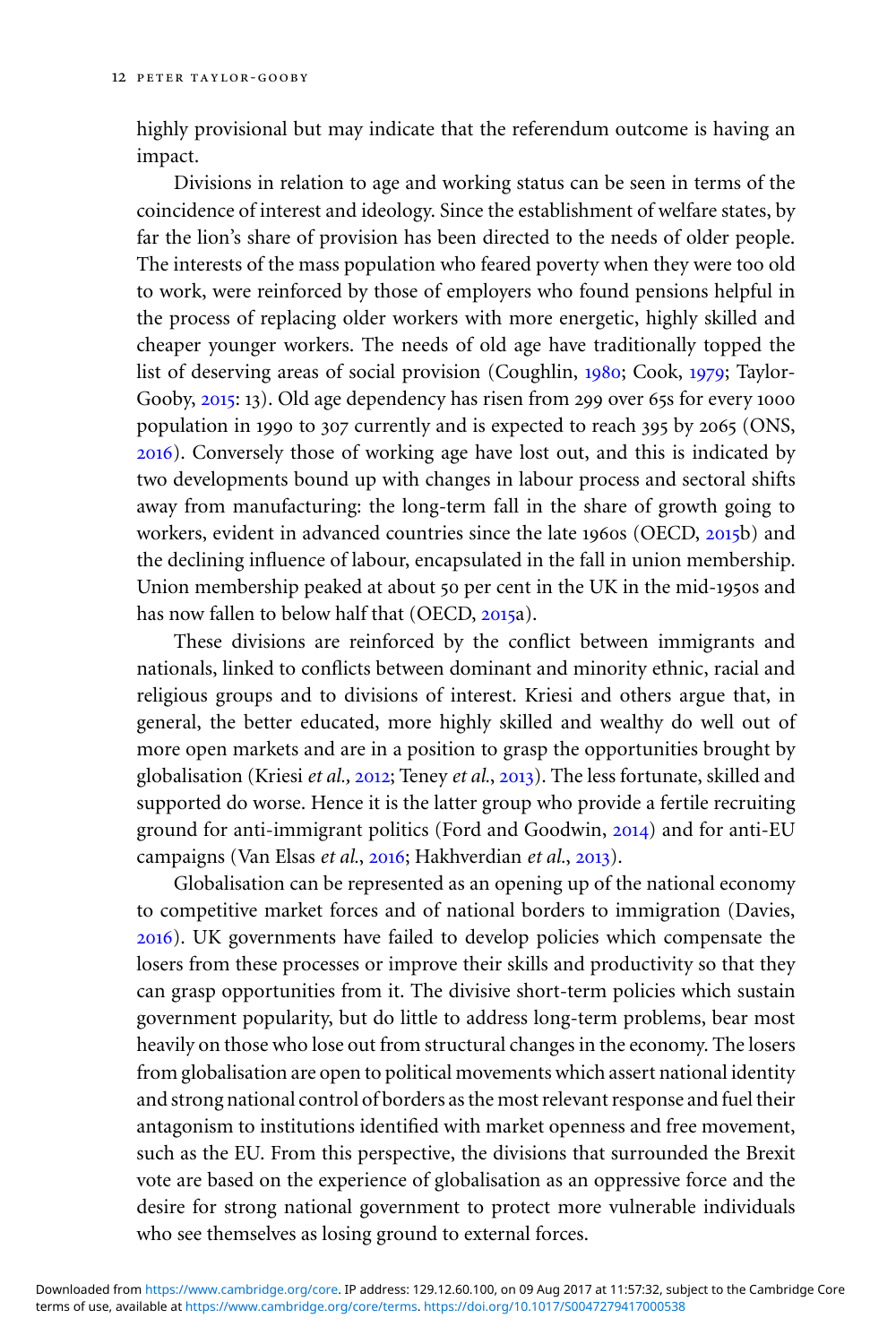highly provisional but may indicate that the referendum outcome is having an impact.

Divisions in relation to age and working status can be seen in terms of the coincidence of interest and ideology. Since the establishment of welfare states, by far the lion's share of provision has been directed to the needs of older people. The interests of the mass population who feared poverty when they were too old to work, were reinforced by those of employers who found pensions helpful in the process of replacing older workers with more energetic, highly skilled and cheaper younger workers. The needs of old age have traditionally topped the list of deserving areas of social provision (Coughlin, [1980](#page-17-0); Cook, [1979](#page-17-0); Taylor-Gooby, [2015](#page-20-0): 13). Old age dependency has risen from 299 over 65s for every 1000 population in 1990 to 307 currently and is expected to reach 395 by 2065 (ONS, [2016](#page-19-0)). Conversely those of working age have lost out, and this is indicated by two developments bound up with changes in labour process and sectoral shifts away from manufacturing: the long-term fall in the share of growth going to workers, evident in advanced countries since the late 1960s (OECD, [2015](#page-19-0)b) and the declining influence of labour, encapsulated in the fall in union membership. Union membership peaked at about 50 per cent in the UK in the mid-1950s and has now fallen to below half that (OECD, [2015](#page-19-0)a).

These divisions are reinforced by the conflict between immigrants and nationals, linked to conflicts between dominant and minority ethnic, racial and religious groups and to divisions of interest. Kriesi and others argue that, in general, the better educated, more highly skilled and wealthy do well out of more open markets and are in a position to grasp the opportunities brought by globalisation (Kriesi *et al.,* [2012](#page-19-0); Teney *et al.*, [2013](#page-20-0)). The less fortunate, skilled and supported do worse. Hence it is the latter group who provide a fertile recruiting ground for anti-immigrant politics (Ford and Goodwin, [2014](#page-18-0)) and for anti-EU campaigns (Van Elsas *et al.*, [2016](#page-20-0); Hakhverdian *et al.*, [2013](#page-18-0)).

Globalisation can be represented as an opening up of the national economy to competitive market forces and of national borders to immigration (Davies, [2016](#page-18-0)). UK governments have failed to develop policies which compensate the losers from these processes or improve their skills and productivity so that they can grasp opportunities from it. The divisive short-term policies which sustain government popularity, but do little to address long-term problems, bear most heavily on those who lose out from structural changes in the economy. The losers from globalisation are open to political movements which assert national identity and strong national control of borders as the most relevant response and fuel their antagonism to institutions identified with market openness and free movement, such as the EU. From this perspective, the divisions that surrounded the Brexit vote are based on the experience of globalisation as an oppressive force and the desire for strong national government to protect more vulnerable individuals who see themselves as losing ground to external forces.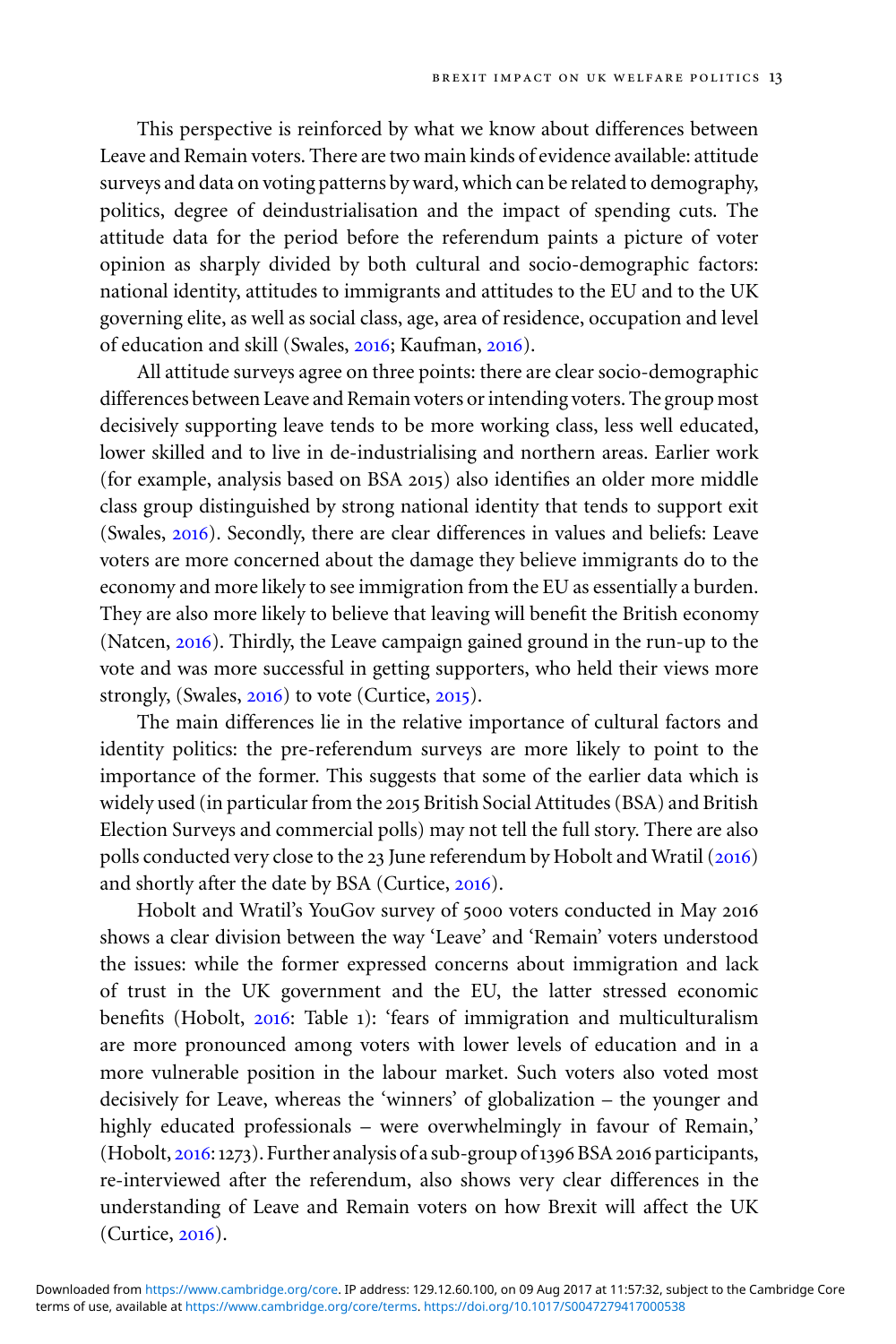This perspective is reinforced by what we know about differences between Leave and Remain voters. There are two main kinds of evidence available: attitude surveys and data on voting patterns by ward, which can be related to demography, politics, degree of deindustrialisation and the impact of spending cuts. The attitude data for the period before the referendum paints a picture of voter opinion as sharply divided by both cultural and socio-demographic factors: national identity, attitudes to immigrants and attitudes to the EU and to the UK governing elite, as well as social class, age, area of residence, occupation and level of education and skill (Swales, [2016](#page-20-0); Kaufman, [2016](#page-19-0)).

All attitude surveys agree on three points: there are clear socio-demographic differences between Leave and Remain voters or intending voters. The group most decisively supporting leave tends to be more working class, less well educated, lower skilled and to live in de-industrialising and northern areas. Earlier work (for example, analysis based on BSA 2015) also identifies an older more middle class group distinguished by strong national identity that tends to support exit (Swales, [2016](#page-20-0)). Secondly, there are clear differences in values and beliefs: Leave voters are more concerned about the damage they believe immigrants do to the economy and more likely to see immigration from the EU as essentially a burden. They are also more likely to believe that leaving will benefit the British economy (Natcen, [2016](#page-19-0)). Thirdly, the Leave campaign gained ground in the run-up to the vote and was more successful in getting supporters, who held their views more strongly, (Swales, [2016](#page-20-0)) to vote (Curtice, [2015](#page-18-0)).

The main differences lie in the relative importance of cultural factors and identity politics: the pre-referendum surveys are more likely to point to the importance of the former. This suggests that some of the earlier data which is widely used (in particular from the 2015 British Social Attitudes (BSA) and British Election Surveys and commercial polls) may not tell the full story. There are also polls conducted very close to the 23 June referendum by Hobolt and Wratil ([2016](#page-19-0)) and shortly after the date by BSA (Curtice, [2016](#page-18-0)).

Hobolt and Wratil's YouGov survey of 5000 voters conducted in May 2016 shows a clear division between the way 'Leave' and 'Remain' voters understood the issues: while the former expressed concerns about immigration and lack of trust in the UK government and the EU, the latter stressed economic benefits (Hobolt, [2016](#page-18-0): Table 1): 'fears of immigration and multiculturalism are more pronounced among voters with lower levels of education and in a more vulnerable position in the labour market. Such voters also voted most decisively for Leave, whereas the 'winners' of globalization – the younger and highly educated professionals – were overwhelmingly in favour of Remain,'  $(Hobolt, 2016:1273)$  $(Hobolt, 2016:1273)$  $(Hobolt, 2016:1273)$ . Further analysis of a sub-group of 1396 BSA 2016 participants, re-interviewed after the referendum, also shows very clear differences in the understanding of Leave and Remain voters on how Brexit will affect the UK (Curtice, [2016](#page-18-0)).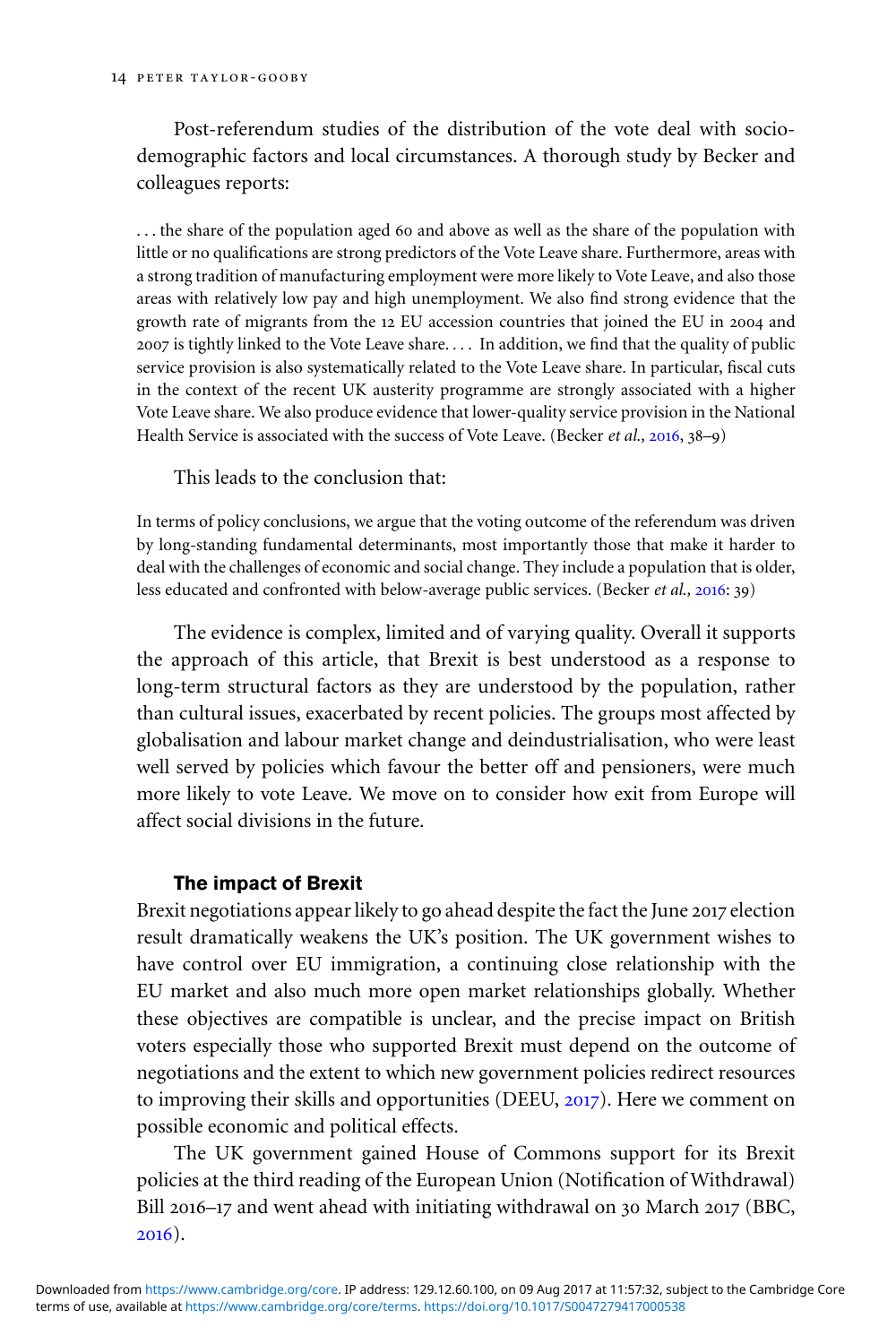Post-referendum studies of the distribution of the vote deal with sociodemographic factors and local circumstances. A thorough study by Becker and colleagues reports:

. . . the share of the population aged 60 and above as well as the share of the population with little or no qualifications are strong predictors of the Vote Leave share. Furthermore, areas with a strong tradition of manufacturing employment were more likely to Vote Leave, and also those areas with relatively low pay and high unemployment. We also find strong evidence that the growth rate of migrants from the 12 EU accession countries that joined the EU in 2004 and 2007 is tightly linked to the Vote Leave share. *...* In addition, we find that the quality of public service provision is also systematically related to the Vote Leave share. In particular, fiscal cuts in the context of the recent UK austerity programme are strongly associated with a higher Vote Leave share. We also produce evidence that lower-quality service provision in the National Health Service is associated with the success of Vote Leave. (Becker *et al.*, [2016](#page-17-0), 38-9)

This leads to the conclusion that:

In terms of policy conclusions, we argue that the voting outcome of the referendum was driven by long-standing fundamental determinants, most importantly those that make it harder to deal with the challenges of economic and social change. They include a population that is older, less educated and confronted with below-average public services. (Becker *et al.,* [2016](#page-17-0): 39)

The evidence is complex, limited and of varying quality. Overall it supports the approach of this article, that Brexit is best understood as a response to long-term structural factors as they are understood by the population, rather than cultural issues, exacerbated by recent policies. The groups most affected by globalisation and labour market change and deindustrialisation, who were least well served by policies which favour the better off and pensioners, were much more likely to vote Leave. We move on to consider how exit from Europe will affect social divisions in the future.

#### **The impact of Brexit**

Brexit negotiations appear likely to go ahead despite the fact the June 2017 election result dramatically weakens the UK's position. The UK government wishes to have control over EU immigration, a continuing close relationship with the EU market and also much more open market relationships globally. Whether these objectives are compatible is unclear, and the precise impact on British voters especially those who supported Brexit must depend on the outcome of negotiations and the extent to which new government policies redirect resources to improving their skills and opportunities (DEEU, [2017](#page-18-0)). Here we comment on possible economic and political effects.

The UK government gained House of Commons support for its Brexit policies at the third reading of the European Union (Notification of Withdrawal) Bill 2016–17 and went ahead with initiating withdrawal on 30 March 2017 (BBC, [2016](#page-17-0)).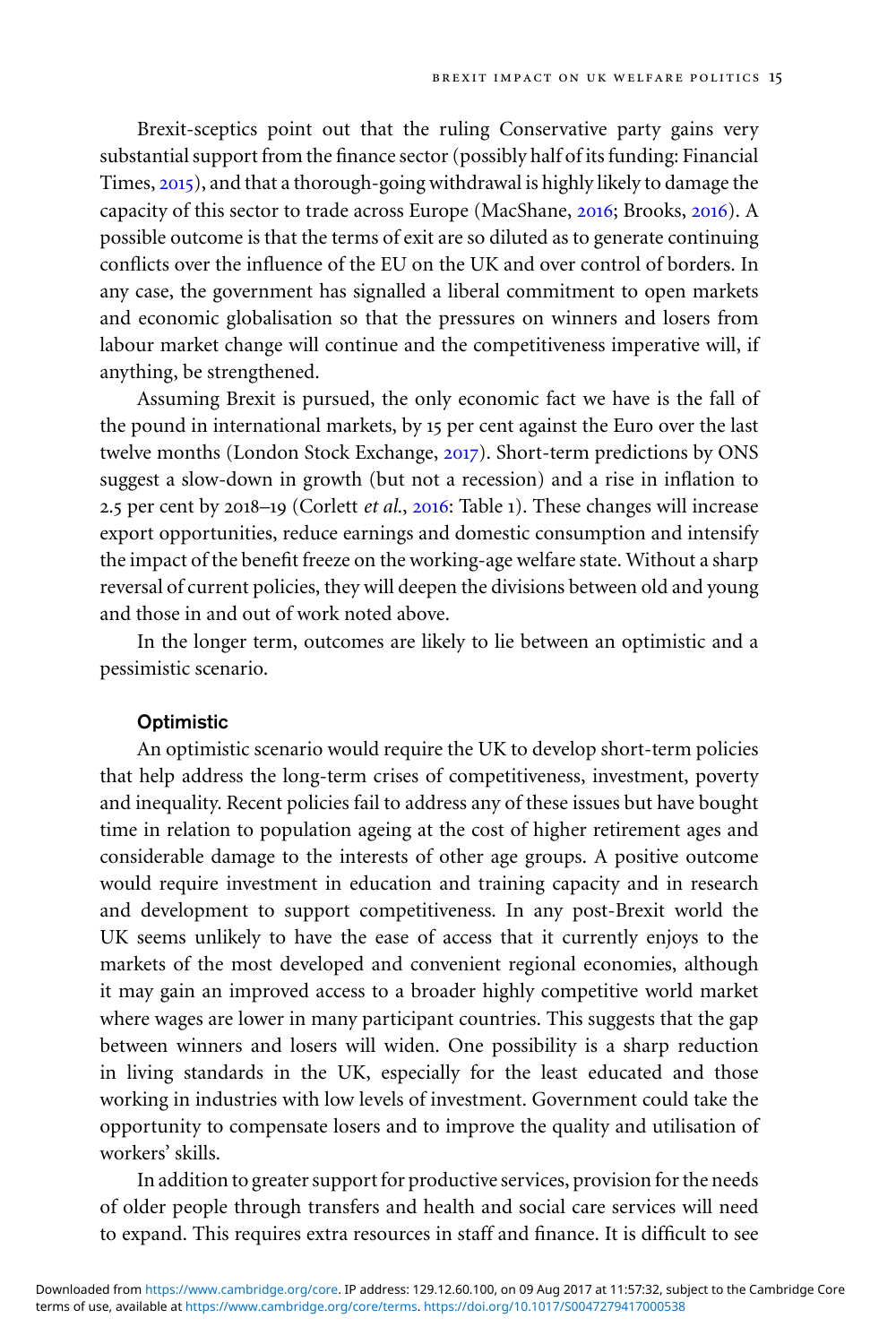Brexit-sceptics point out that the ruling Conservative party gains very substantial support from the finance sector (possibly half of its funding: Financial Times, [2015](#page-18-0)), and that a thorough-going withdrawal is highly likely to damage the capacity of this sector to trade across Europe (MacShane, [2016](#page-19-0); Brooks, [2016](#page-17-0)). A possible outcome is that the terms of exit are so diluted as to generate continuing conflicts over the influence of the EU on the UK and over control of borders. In any case, the government has signalled a liberal commitment to open markets and economic globalisation so that the pressures on winners and losers from labour market change will continue and the competitiveness imperative will, if anything, be strengthened.

Assuming Brexit is pursued, the only economic fact we have is the fall of the pound in international markets, by 15 per cent against the Euro over the last twelve months (London Stock Exchange, [2017](#page-19-0)). Short-term predictions by ONS suggest a slow-down in growth (but not a recession) and a rise in inflation to 2.5 per cent by 2018–19 (Corlett *et al*., [2016](#page-17-0): Table 1). These changes will increase export opportunities, reduce earnings and domestic consumption and intensify the impact of the benefit freeze on the working-age welfare state. Without a sharp reversal of current policies, they will deepen the divisions between old and young and those in and out of work noted above.

In the longer term, outcomes are likely to lie between an optimistic and a pessimistic scenario.

#### **Optimistic**

An optimistic scenario would require the UK to develop short-term policies that help address the long-term crises of competitiveness, investment, poverty and inequality. Recent policies fail to address any of these issues but have bought time in relation to population ageing at the cost of higher retirement ages and considerable damage to the interests of other age groups. A positive outcome would require investment in education and training capacity and in research and development to support competitiveness. In any post-Brexit world the UK seems unlikely to have the ease of access that it currently enjoys to the markets of the most developed and convenient regional economies, although it may gain an improved access to a broader highly competitive world market where wages are lower in many participant countries. This suggests that the gap between winners and losers will widen. One possibility is a sharp reduction in living standards in the UK, especially for the least educated and those working in industries with low levels of investment. Government could take the opportunity to compensate losers and to improve the quality and utilisation of workers' skills.

In addition to greater support for productive services, provision for the needs of older people through transfers and health and social care services will need to expand. This requires extra resources in staff and finance. It is difficult to see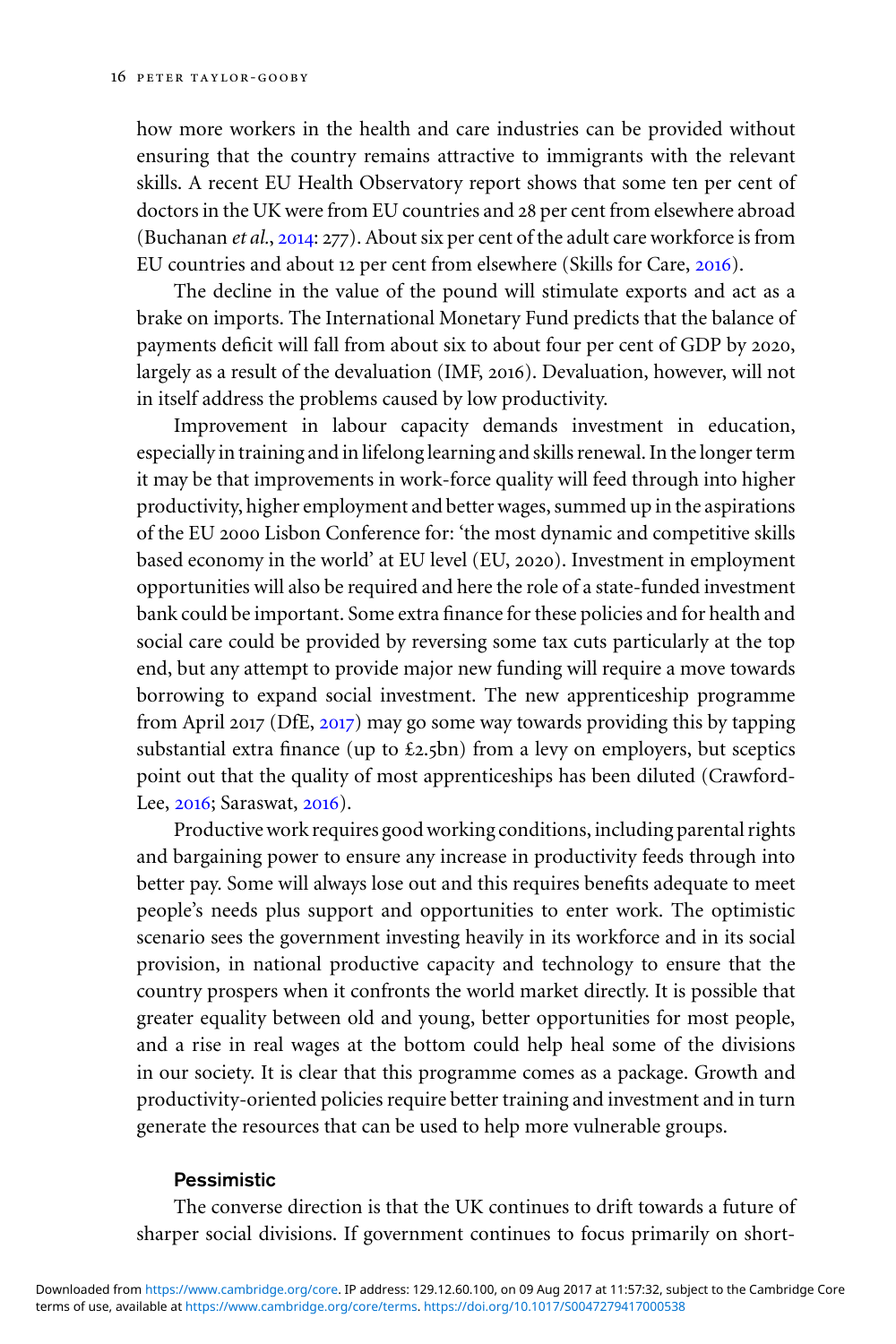how more workers in the health and care industries can be provided without ensuring that the country remains attractive to immigrants with the relevant skills. A recent EU Health Observatory report shows that some ten per cent of doctors in the UK were from EU countries and 28 per cent from elsewhere abroad (Buchanan *et al.*, [2014](#page-17-0): 277). About six per cent of the adult care workforce is from EU countries and about 12 per cent from elsewhere (Skills for Care, [2016](#page-20-0)).

The decline in the value of the pound will stimulate exports and act as a brake on imports. The International Monetary Fund predicts that the balance of payments deficit will fall from about six to about four per cent of GDP by 2020, largely as a result of the devaluation (IMF, 2016). Devaluation, however, will not in itself address the problems caused by low productivity.

Improvement in labour capacity demands investment in education, especially in training and in lifelong learning and skills renewal. In the longer term it may be that improvements in work-force quality will feed through into higher productivity, higher employment and better wages, summed up in the aspirations of the EU 2000 Lisbon Conference for: 'the most dynamic and competitive skills based economy in the world' at EU level (EU, 2020). Investment in employment opportunities will also be required and here the role of a state-funded investment bank could be important. Some extra finance for these policies and for health and social care could be provided by reversing some tax cuts particularly at the top end, but any attempt to provide major new funding will require a move towards borrowing to expand social investment. The new apprenticeship programme from April 2017 (DfE, [2017](#page-18-0)) may go some way towards providing this by tapping substantial extra finance (up to £2.5bn) from a levy on employers, but sceptics point out that the quality of most apprenticeships has been diluted (Crawford-Lee, [2016](#page-17-0); Saraswat, [2016](#page-20-0)).

Productive work requires good working conditions, including parental rights and bargaining power to ensure any increase in productivity feeds through into better pay. Some will always lose out and this requires benefits adequate to meet people's needs plus support and opportunities to enter work. The optimistic scenario sees the government investing heavily in its workforce and in its social provision, in national productive capacity and technology to ensure that the country prospers when it confronts the world market directly. It is possible that greater equality between old and young, better opportunities for most people, and a rise in real wages at the bottom could help heal some of the divisions in our society. It is clear that this programme comes as a package. Growth and productivity-oriented policies require better training and investment and in turn generate the resources that can be used to help more vulnerable groups.

#### **Pessimistic**

The converse direction is that the UK continues to drift towards a future of sharper social divisions. If government continues to focus primarily on short-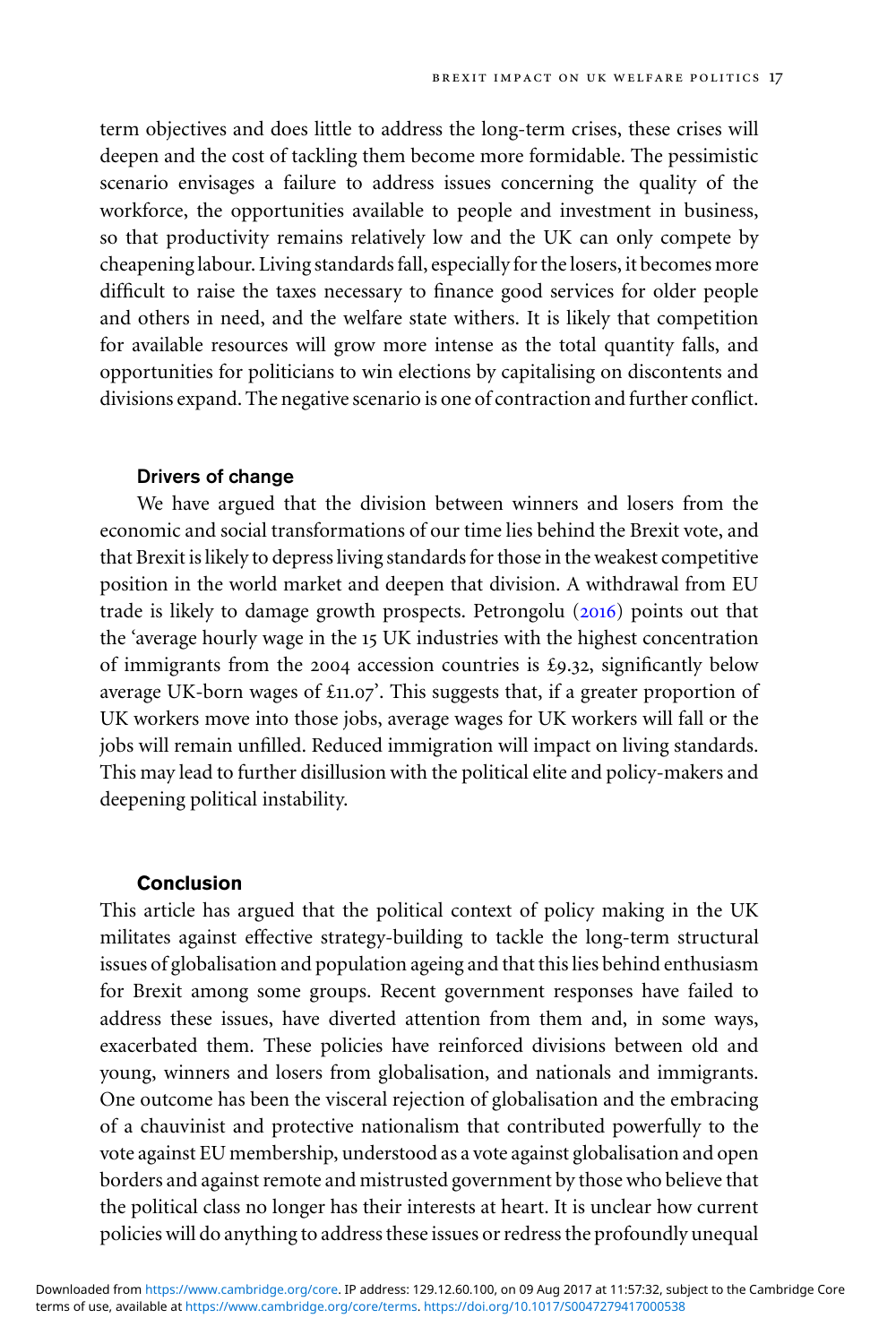<span id="page-17-0"></span>term objectives and does little to address the long-term crises, these crises will deepen and the cost of tackling them become more formidable. The pessimistic scenario envisages a failure to address issues concerning the quality of the workforce, the opportunities available to people and investment in business, so that productivity remains relatively low and the UK can only compete by cheapening labour. Living standards fall, especially for the losers, it becomes more difficult to raise the taxes necessary to finance good services for older people and others in need, and the welfare state withers. It is likely that competition for available resources will grow more intense as the total quantity falls, and opportunities for politicians to win elections by capitalising on discontents and divisions expand. The negative scenario is one of contraction and further conflict.

#### Drivers of change

We have argued that the division between winners and losers from the economic and social transformations of our time lies behind the Brexit vote, and that Brexit is likely to depress living standards for those in the weakest competitive position in the world market and deepen that division. A withdrawal from EU trade is likely to damage growth prospects. Petrongolu ([2016](#page-19-0)) points out that the 'average hourly wage in the 15 UK industries with the highest concentration of immigrants from the 2004 accession countries is £9.32, significantly below average UK-born wages of  $\text{\pounds}_{11.07}$ . This suggests that, if a greater proportion of UK workers move into those jobs, average wages for UK workers will fall or the jobs will remain unfilled. Reduced immigration will impact on living standards. This may lead to further disillusion with the political elite and policy-makers and deepening political instability.

#### **Conclusion**

This article has argued that the political context of policy making in the UK militates against effective strategy-building to tackle the long-term structural issues of globalisation and population ageing and that this lies behind enthusiasm for Brexit among some groups. Recent government responses have failed to address these issues, have diverted attention from them and, in some ways, exacerbated them. These policies have reinforced divisions between old and young, winners and losers from globalisation, and nationals and immigrants. One outcome has been the visceral rejection of globalisation and the embracing of a chauvinist and protective nationalism that contributed powerfully to the vote against EU membership, understood as a vote against globalisation and open borders and against remote and mistrusted government by those who believe that the political class no longer has their interests at heart. It is unclear how current policies will do anything to address these issues or redress the profoundly unequal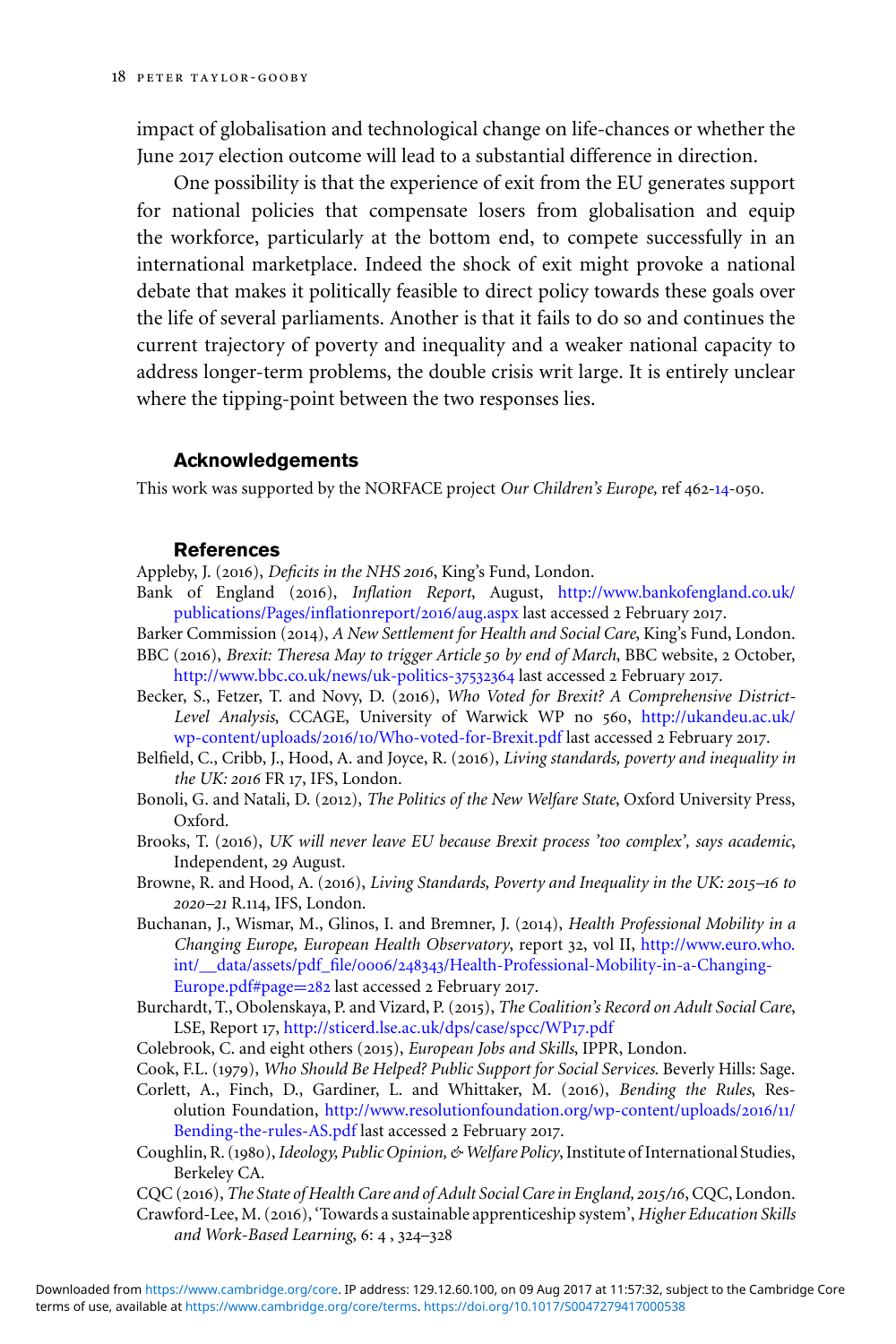<span id="page-18-0"></span>impact of globalisation and technological change on life-chances or whether the June 2017 election outcome will lead to a substantial difference in direction.

One possibility is that the experience of exit from the EU generates support for national policies that compensate losers from globalisation and equip the workforce, particularly at the bottom end, to compete successfully in an international marketplace. Indeed the shock of exit might provoke a national debate that makes it politically feasible to direct policy towards these goals over the life of several parliaments. Another is that it fails to do so and continues the current trajectory of poverty and inequality and a weaker national capacity to address longer-term problems, the double crisis writ large. It is entirely unclear where the tipping-point between the two responses lies.

#### **Acknowledgements**

This work was supported by the NORFACE project *Our Children's Europe,* ref 462-[14](#page-17-0)-050.

#### **References**

Appleby, J. (2016), *Deficits in the NHS 2016*, King's Fund, London.

- Bank of England (2016), *Inflation Report*, August, [http://www.bankofengland.co.uk/](http://www.bankofengland.co.uk/publications/Pages/inflationreport/2016/aug.aspx) [publications/Pages/inflationreport/](http://www.bankofengland.co.uk/publications/Pages/inflationreport/2016/aug.aspx)2016/aug.aspx last accessed 2 February 2017.
- Barker Commission (2014), *A New Settlement for Health and Social Care*, King's Fund, London. BBC (2016), *Brexit: Theresa May to trigger Article 50 by end of March*, BBC website, 2 October, [http://www.bbc.co.uk/news/uk-politics-](http://www.bbc.co.uk/news/uk-politics-37532364)37532364 last accessed 2 February 2017.
- Becker, S., Fetzer, T. and Novy, D. (2016), *Who Voted for Brexit? A Comprehensive District-Level Analysis*, CCAGE, University of Warwick WP no 560, [http://ukandeu.ac.uk/](http://ukandeu.ac.uk/wp-content/uploads/2016/10/Who-voted-for-Brexit.pdf) wp-content/uploads/2016/10[/Who-voted-for-Brexit.pdf](http://ukandeu.ac.uk/wp-content/uploads/2016/10/Who-voted-for-Brexit.pdf) last accessed 2 February 2017.
- Belfield, C., Cribb, J., Hood, A. and Joyce, R. (2016), *Living standards, poverty and inequality in the UK: 2016* FR 17, IFS, London.
- Bonoli, G. and Natali, D. (2012), *The Politics of the New Welfare State*, Oxford University Press, Oxford.
- Brooks, T. (2016), *UK will never leave EU because Brexit process 'too complex', says academic*, Independent, 29 August.
- Browne, R. and Hood, A. (2016), *Living Standards, Poverty and Inequality in the UK: 2015–16 to 2020–21* R.114, IFS, London.
- Buchanan, J., Wismar, M., Glinos, I. and Bremner, J. (2014), *Health Professional Mobility in a Changing Europe, European Health Observatory*, report 32, vol II, [http://www.euro.who.](http://www.euro.who.int/__data/assets/pdf_file/0006/248343/Health-Professional-Mobility-in-a-Changing-Europe.pdf#page$=$282) int/\_\_data/assets/pdf\_file/0006/248343[/Health-Professional-Mobility-in-a-Changing-](http://www.euro.who.int/__data/assets/pdf_file/0006/248343/Health-Professional-Mobility-in-a-Changing-Europe.pdf#page$=$282)[Europe.pdf#page](http://www.euro.who.int/__data/assets/pdf_file/0006/248343/Health-Professional-Mobility-in-a-Changing-Europe.pdf#page$=$282)=282 last accessed 2 February 2017.
- Burchardt, T., Obolenskaya, P. and Vizard, P. (2015), *The Coalition's Record on Adult Social Care*, LSE, Report 17, [http://sticerd.lse.ac.uk/dps/case/spcc/WP](http://sticerd.lse.ac.uk/dps/case/spcc/WP17.pdf)17.pdf
- Colebrook, C. and eight others (2015), *European Jobs and Skills*, IPPR, London.
- Cook, F.L. (1979), *Who Should Be Helped? Public Support for Social Services*. Beverly Hills: Sage.
- Corlett, A., Finch, D., Gardiner, L. and Whittaker, M. (2016), *Bending the Rules*, Resolution Foundation, [http://www.resolutionfoundation.org/wp-content/uploads/](http://www.resolutionfoundation.org/wp-content/uploads/2016/11/Bending-the-rules-AS.pdf)2016/11/ [Bending-the-rules-AS.pdf](http://www.resolutionfoundation.org/wp-content/uploads/2016/11/Bending-the-rules-AS.pdf) last accessed 2 February 2017.
- Coughlin, R. (1980),*Ideology, Public Opinion, &Welfare Policy*, Institute of International Studies, Berkeley CA.
- CQC (2016), *The State of Health Care and of Adult Social Care in England, 2015/16*, CQC, London.
- Crawford-Lee, M. (2016), 'Towards a sustainable apprenticeship system', *Higher Education Skills and Work-Based Learning*, 6: 4 , 324–328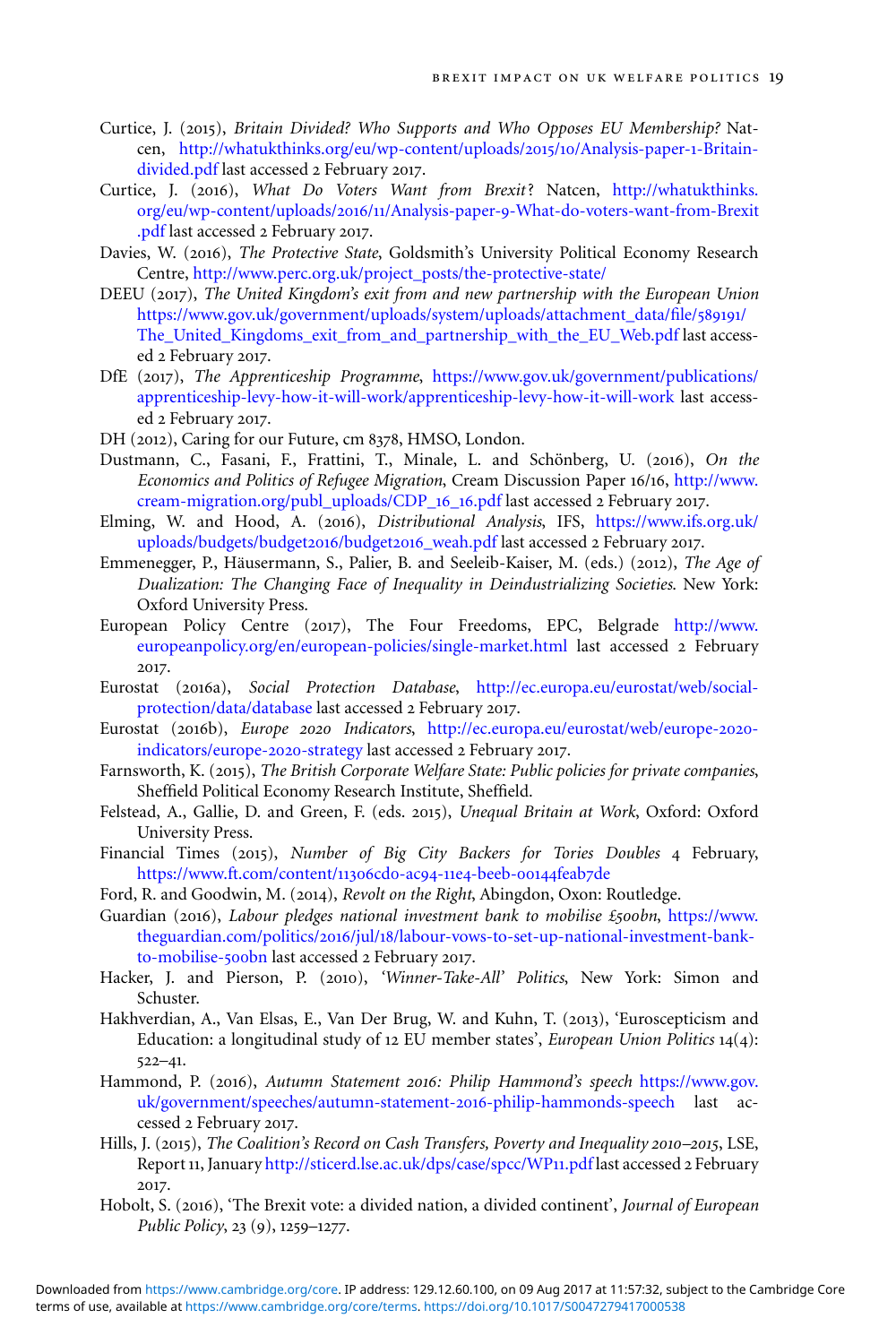- <span id="page-19-0"></span>Curtice, J. (2015), *Britain Divided? Who Supports and Who Opposes EU Membership?* Natcen, [http://whatukthinks.org/eu/wp-content/uploads/](http://whatukthinks.org/eu/wp-content/uploads/2015/10/Analysis-paper-1-Britain-divided.pdf)2015/10/Analysis-paper-1-Britain[divided.pdf](http://whatukthinks.org/eu/wp-content/uploads/2015/10/Analysis-paper-1-Britain-divided.pdf) last accessed 2 February 2017.
- Curtice, J. (2016), *What Do Voters Want from Brexit*? Natcen, [http://whatukthinks.](http://whatukthinks.org/eu/wp-content/uploads/2016/11/Analysis-paper-9-What-do-voters-want-from-Brexit.pdf) org/eu/wp-content/uploads/2016/11/Analysis-paper-9[-What-do-voters-want-from-Brexit](http://whatukthinks.org/eu/wp-content/uploads/2016/11/Analysis-paper-9-What-do-voters-want-from-Brexit.pdf) [.pdf](http://whatukthinks.org/eu/wp-content/uploads/2016/11/Analysis-paper-9-What-do-voters-want-from-Brexit.pdf) last accessed 2 February 2017.
- Davies, W. (2016), *The Protective State*, Goldsmith's University Political Economy Research Centre, [http://www.perc.org.uk/project\\_posts/the-protective-state/](http://www.perc.org.uk/project_posts/the-protective-state/)
- DEEU (2017), *The United Kingdom's exit from and new partnership with the European Union* [https://www.gov.uk/government/uploads/system/uploads/attachment\\_data/file/](https://www.gov.uk/government/uploads/system/uploads/attachment_data/file/589191/The_United_Kingdoms_exit_from_and_partnership_with_the_EU_Web.pdf)589191/ [The\\_United\\_Kingdoms\\_exit\\_from\\_and\\_partnership\\_with\\_the\\_EU\\_Web.pdf](https://www.gov.uk/government/uploads/system/uploads/attachment_data/file/589191/The_United_Kingdoms_exit_from_and_partnership_with_the_EU_Web.pdf) last accessed 2 February 2017.
- DfE (2017), *The Apprenticeship Programme*, [https://www.gov.uk/government/publications/](https://www.gov.uk/government/publications/apprenticeship-levy-how-it-will-work/apprenticeship-levy-how-it-will-work) [apprenticeship-levy-how-it-will-work/apprenticeship-levy-how-it-will-work](https://www.gov.uk/government/publications/apprenticeship-levy-how-it-will-work/apprenticeship-levy-how-it-will-work) last accessed 2 February 2017.
- DH (2012), Caring for our Future, cm 8378, HMSO, London.
- Dustmann, C., Fasani, F., Frattini, T., Minale, L. and Schӧnberg, U. (2016), *On the Economics and Politics of Refugee Migration*, Cream Discussion Paper 16/16, [http://www.](http://www.cream-migration.org/publ_uploads/CDP_16_16.pdf) [cream-migration.org/publ\\_uploads/CDP\\_](http://www.cream-migration.org/publ_uploads/CDP_16_16.pdf)16\_16.pdf last accessed 2 February 2017.
- Elming, W. and Hood, A. (2016), *Distributional Analysis*, IFS, [https://www.ifs.org.uk/](https://www.ifs.org.uk/uploads/budgets/budget2016/budget2016_weah.pdf) [uploads/budgets/budget](https://www.ifs.org.uk/uploads/budgets/budget2016/budget2016_weah.pdf)2016/budget2016\_weah.pdf last accessed 2 February 2017.
- Emmenegger, P., Häusermann, S., Palier, B. and Seeleib-Kaiser, M. (eds.) (2012), The Age of *Dualization: The Changing Face of Inequality in Deindustrializing Societies*. New York: Oxford University Press.
- European Policy Centre (2017), The Four Freedoms, EPC, Belgrade [http://www.](http://www.europeanpolicy.org/en/european-policies/single-market.html) [europeanpolicy.org/en/european-policies/single-market.html](http://www.europeanpolicy.org/en/european-policies/single-market.html) last accessed 2 February 2017.
- Eurostat (2016a), *Social Protection Database*, [http://ec.europa.eu/eurostat/web/social](http://ec.europa.eu/eurostat/web/social-protection/data/database)[protection/data/database](http://ec.europa.eu/eurostat/web/social-protection/data/database) last accessed 2 February 2017.
- Eurostat (2016b), *Europe 2020 Indicators*, [http://ec.europa.eu/eurostat/web/europe-](http://ec.europa.eu/eurostat/web/europe-2020-indicators/europe-2020-strategy)2020 [indicators/europe-](http://ec.europa.eu/eurostat/web/europe-2020-indicators/europe-2020-strategy)2020-strategy last accessed 2 February 2017.
- Farnsworth, K. (2015), *The British Corporate Welfare State: Public policies for private companies*, Sheffield Political Economy Research Institute, Sheffield.
- Felstead, A., Gallie, D. and Green, F. (eds. 2015), *Unequal Britain at Work*, Oxford: Oxford University Press.
- Financial Times (2015), *Number of Big City Backers for Tories Doubles* 4 February, [https://www.ft.com/content/](https://www.ft.com/content/11306cd0-ac94-11e4-beeb-00144feab7de)11306cd0-ac94-11e4-beeb-00144feab7de
- Ford, R. and Goodwin, M. (2014), *Revolt on the Right*, Abingdon, Oxon: Routledge.
- Guardian (2016), *Labour pledges national investment bank to mobilise £500bn*, [https://www.](https://www.theguardian.com/politics/2016/jul/18/labour-vows-to-set-up-national-investment-bank-to-mobilise-500bn) theguardian.com/politics/2016/jul/18[/labour-vows-to-set-up-national-investment-bank](https://www.theguardian.com/politics/2016/jul/18/labour-vows-to-set-up-national-investment-bank-to-mobilise-500bn)[to-mobilise-](https://www.theguardian.com/politics/2016/jul/18/labour-vows-to-set-up-national-investment-bank-to-mobilise-500bn)500bn last accessed 2 February 2017.
- Hacker, J. and Pierson, P. (2010), *'Winner-Take-All' Politics*, New York: Simon and Schuster.
- Hakhverdian, A., Van Elsas, E., Van Der Brug, W. and Kuhn, T. (2013), 'Euroscepticism and Education: a longitudinal study of 12 EU member states', *European Union Politics* 14(4): 522–41.
- Hammond, P. (2016), *Autumn Statement 2016: Philip Hammond's speech* [https://www.gov.](https://www.gov.uk/government/speeches/autumn-statement-2016-philip-hammonds-speech) [uk/government/speeches/autumn-statement-](https://www.gov.uk/government/speeches/autumn-statement-2016-philip-hammonds-speech)2016-philip-hammonds-speech last accessed 2 February 2017.
- Hills, J. (2015), *The Coalition's Record on Cash Transfers, Poverty and Inequality 2010–2015*, LSE, Report 11, January [http://sticerd.lse.ac.uk/dps/case/spcc/WP](http://sticerd.lse.ac.uk/dps/case/spcc/WP11.pdf)11.pdf last accessed 2 February 2017.
- Hobolt, S. (2016), 'The Brexit vote: a divided nation, a divided continent', *Journal of European Public Policy*, 23 (9), 1259–1277.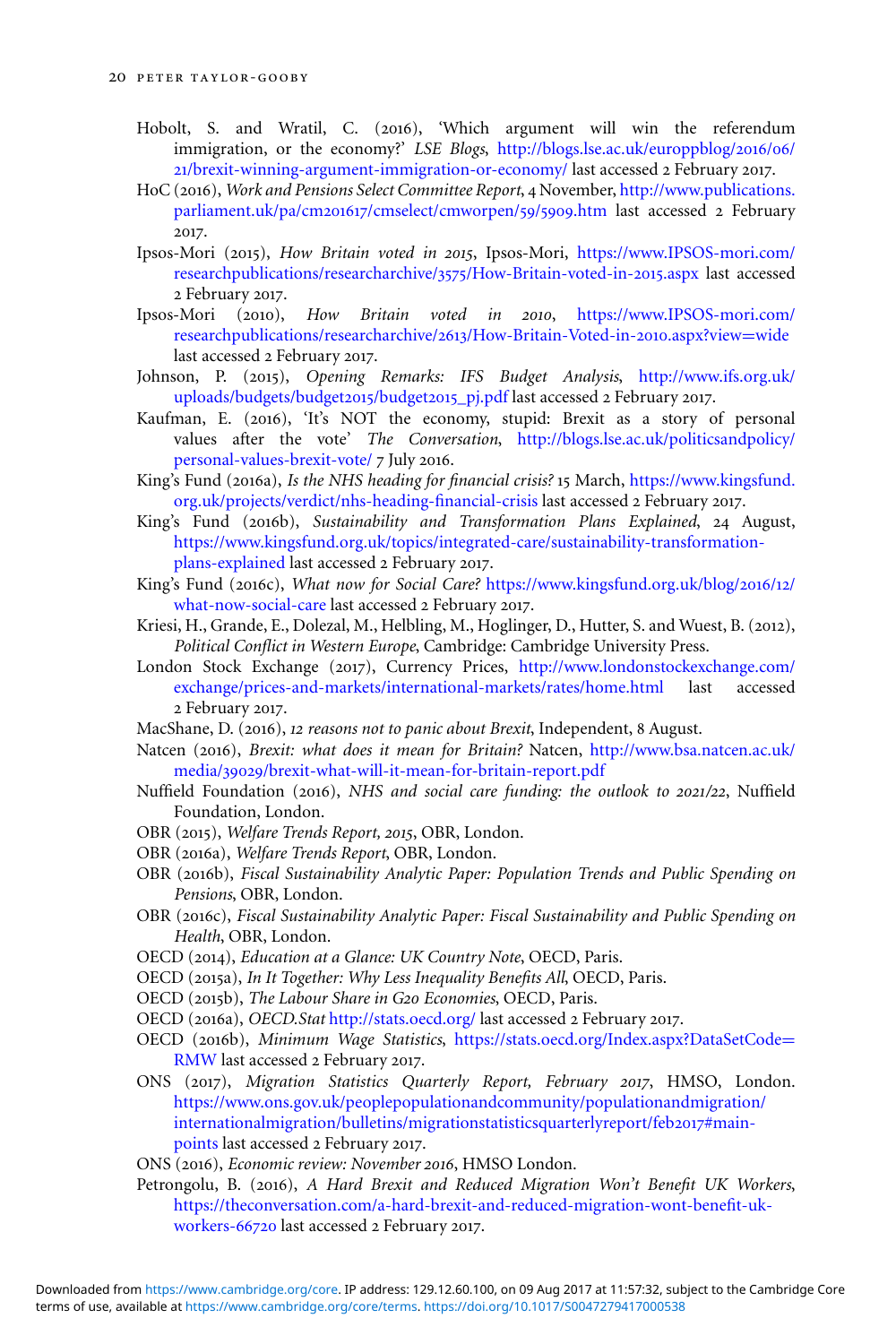- <span id="page-20-0"></span>Hobolt, S. and Wratil, C. (2016), 'Which argument will win the referendum immigration, or the economy?' *LSE Blogs*, [http://blogs.lse.ac.uk/europpblog/](http://blogs.lse.ac.uk/europpblog/2016/06/21/brexit-winning-argument-immigration-or-economy/)2016/06/ 21[/brexit-winning-argument-immigration-or-economy/](http://blogs.lse.ac.uk/europpblog/2016/06/21/brexit-winning-argument-immigration-or-economy/) last accessed 2 February 2017.
- HoC (2016), *Work and Pensions Select Committee Report*, 4 November, [http://www.publications.](http://www.publications.parliament.uk/pa/cm201617/cmselect/cmworpen/59/5909.htm) parliament.uk/pa/cm201617[/cmselect/cmworpen/](http://www.publications.parliament.uk/pa/cm201617/cmselect/cmworpen/59/5909.htm)59/5909.htm last accessed 2 February 2017.
- Ipsos-Mori (2015), *How Britain voted in 2015*, Ipsos-Mori, [https://www.IPSOS-mori.com/](https://www.IPSOS-mori.com/researchpublications/researcharchive/3575/How-Britain-voted-in-2015.aspx) [researchpublications/researcharchive/](https://www.IPSOS-mori.com/researchpublications/researcharchive/3575/How-Britain-voted-in-2015.aspx)3575/How-Britain-voted-in-2015.aspx last accessed 2 February 2017.
- Ipsos-Mori (2010), *How Britain voted in 2010*, [https://www.IPSOS-mori.com/](https://www.IPSOS-mori.com/researchpublications/researcharchive/2613/How-Britain-Voted-in-2010.aspx{?}view$=$wide) [researchpublications/researcharchive/](https://www.IPSOS-mori.com/researchpublications/researcharchive/2613/How-Britain-Voted-in-2010.aspx{?}view$=$wide)2613/How-Britain-Voted-in-2010.aspx?view=wide last accessed 2 February 2017.
- Johnson, P. (2015), *Opening Remarks: IFS Budget Analysis*, [http://www.ifs.org.uk/](http://www.ifs.org.uk/uploads/budgets/budget2015/budget2015_pj.pdf) [uploads/budgets/budget](http://www.ifs.org.uk/uploads/budgets/budget2015/budget2015_pj.pdf)2015/budget2015\_pj.pdf last accessed 2 February 2017.
- Kaufman, E. (2016), 'It's NOT the economy, stupid: Brexit as a story of personal values after the vote' *The Conversation*, [http://blogs.lse.ac.uk/politicsandpolicy/](http://blogs.lse.ac.uk/politicsandpolicy/personal-values-brexit-vote/) [personal-values-brexit-vote/](http://blogs.lse.ac.uk/politicsandpolicy/personal-values-brexit-vote/) 7 July 2016.
- King's Fund (2016a), *Is the NHS heading for financial crisis?* 15 March, [https://www.kingsfund.](https://www.kingsfund.org.uk/projects/verdict/nhs-heading-financial-crisis) [org.uk/projects/verdict/nhs-heading-financial-crisis](https://www.kingsfund.org.uk/projects/verdict/nhs-heading-financial-crisis) last accessed 2 February 2017.
- King's Fund (2016b), *Sustainability and Transformation Plans Explained*, 24 August, [https://www.kingsfund.org.uk/topics/integrated-care/sustainability-transformation](https://www.kingsfund.org.uk/topics/integrated-care/sustainability-transformation-plans-explained)[plans-explained](https://www.kingsfund.org.uk/topics/integrated-care/sustainability-transformation-plans-explained) last accessed 2 February 2017.
- King's Fund (2016c), *What now for Social Care?* [https://www.kingsfund.org.uk/blog/](https://www.kingsfund.org.uk/blog/2016/12/what-now-social-care)2016/12/ [what-now-social-care](https://www.kingsfund.org.uk/blog/2016/12/what-now-social-care) last accessed 2 February 2017.
- Kriesi, H., Grande, E., Dolezal, M., Helbling, M., Hoglinger, D., Hutter, S. and Wuest, B. (2012), *Political Conflict in Western Europe*, Cambridge: Cambridge University Press.
- London Stock Exchange (2017), Currency Prices, [http://www.londonstockexchange.com/](http://www.londonstockexchange.com/exchange/prices-and-markets/international-markets/rates/home.html) [exchange/prices-and-markets/international-markets/rates/home.html](http://www.londonstockexchange.com/exchange/prices-and-markets/international-markets/rates/home.html) last accessed 2 February 2017.
- MacShane, D. (2016), *12 reasons not to panic about Brexit*, Independent, 8 August.
- Natcen (2016), *Brexit: what does it mean for Britain?* Natcen, [http://www.bsa.natcen.ac.uk/](http://www.bsa.natcen.ac.uk/media/39029/brexit-what-will-it-mean-for-britain-report.pdf) media/39029[/brexit-what-will-it-mean-for-britain-report.pdf](http://www.bsa.natcen.ac.uk/media/39029/brexit-what-will-it-mean-for-britain-report.pdf)
- Nuffield Foundation (2016), *NHS and social care funding: the outlook to 2021/22*, Nuffield Foundation, London.
- OBR (2015), *Welfare Trends Report, 2015*, OBR, London.
- OBR (2016a), *Welfare Trends Report*, OBR, London.
- OBR (2016b), *Fiscal Sustainability Analytic Paper: Population Trends and Public Spending on Pensions*, OBR, London.
- OBR (2016c), *Fiscal Sustainability Analytic Paper: Fiscal Sustainability and Public Spending on Health*, OBR, London.
- OECD (2014), *Education at a Glance: UK Country Note*, OECD, Paris.
- OECD (2015a), *In It Together: Why Less Inequality Benefits All*, OECD, Paris.
- OECD (2015b), *The Labour Share in G20 Economies*, OECD, Paris.
- OECD (2016a), *OECD.Stat* <http://stats.oecd.org/> last accessed 2 February 2017.
- OECD (2016b), *Minimum Wage Statistics*, [https://stats.oecd.org/Index.aspx?DataSetCode](https://stats.oecd.org/Index.aspx{?}DataSetCode$=$RMW)= [RMW](https://stats.oecd.org/Index.aspx{?}DataSetCode$=$RMW) last accessed 2 February 2017.
- ONS (2017), *Migration Statistics Quarterly Report, February 2017*, HMSO, London. [https://www.ons.gov.uk/peoplepopulationandcommunity/populationandmigration/](https://www.ons.gov.uk/peoplepopulationandcommunity/populationandmigration/internationalmigration/bulletins/migrationstatisticsquarterlyreport/feb2017#main-points) [internationalmigration/bulletins/migrationstatisticsquarterlyreport/feb](https://www.ons.gov.uk/peoplepopulationandcommunity/populationandmigration/internationalmigration/bulletins/migrationstatisticsquarterlyreport/feb2017#main-points)2017#main[points](https://www.ons.gov.uk/peoplepopulationandcommunity/populationandmigration/internationalmigration/bulletins/migrationstatisticsquarterlyreport/feb2017#main-points) last accessed 2 February 2017.
- ONS (2016), *Economic review: November 2016*, HMSO London.
- Petrongolu, B. (2016), *A Hard Brexit and Reduced Migration Won't Benefit UK Workers*, [https://theconversation.com/a-hard-brexit-and-reduced-migration-wont-benefit-uk](https://theconversation.com/a-hard-brexit-and-reduced-migration-wont-benefit-uk-workers-66720)[workers-](https://theconversation.com/a-hard-brexit-and-reduced-migration-wont-benefit-uk-workers-66720)66720 last accessed 2 February 2017.